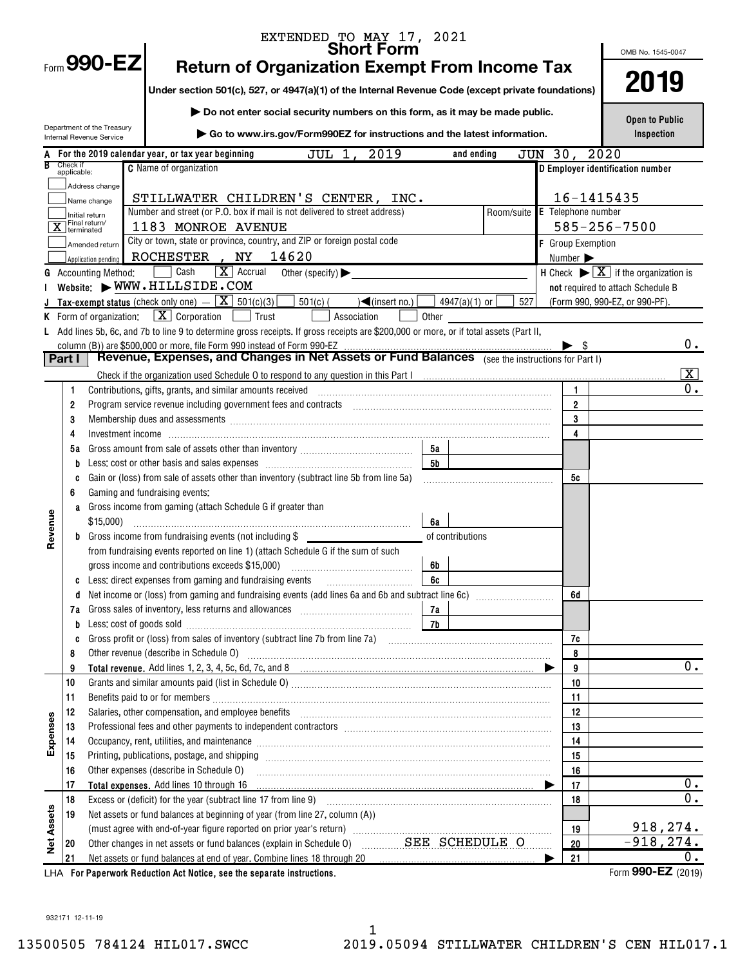|            |                         |                                                        | EXTENDED TO MAY 17, 2021<br><b>Short Form</b>                                                                                                                                                                                     |           |                       |         |                          | OMB No. 1545-0047                                                       |                         |
|------------|-------------------------|--------------------------------------------------------|-----------------------------------------------------------------------------------------------------------------------------------------------------------------------------------------------------------------------------------|-----------|-----------------------|---------|--------------------------|-------------------------------------------------------------------------|-------------------------|
|            |                         | Form 990-EZ                                            | <b>Return of Organization Exempt From Income Tax</b>                                                                                                                                                                              |           |                       |         |                          |                                                                         |                         |
|            |                         |                                                        | Under section 501(c), 527, or 4947(a)(1) of the Internal Revenue Code (except private foundations)                                                                                                                                |           |                       |         |                          | 2019                                                                    |                         |
|            |                         |                                                        | Do not enter social security numbers on this form, as it may be made public.                                                                                                                                                      |           |                       |         |                          |                                                                         |                         |
|            |                         | Department of the Treasury<br>Internal Revenue Service | Go to www.irs.gov/Form990EZ for instructions and the latest information.                                                                                                                                                          |           |                       |         |                          | <b>Open to Public</b><br>Inspection                                     |                         |
|            |                         |                                                        | 2019<br>A For the 2019 calendar year, or tax year beginning<br>JUL 1,                                                                                                                                                             |           | and ending            | JUN 30, |                          | 2020                                                                    |                         |
|            | Check if<br>applicable: |                                                        | <b>C</b> Name of organization                                                                                                                                                                                                     |           |                       |         |                          | D Employer identification number                                        |                         |
|            |                         | Address change                                         |                                                                                                                                                                                                                                   |           |                       |         |                          |                                                                         |                         |
|            |                         | Name change                                            | STILLWATER CHILDREN'S CENTER, INC.                                                                                                                                                                                                |           |                       |         |                          | 16-1415435                                                              |                         |
|            |                         | Initial return<br>Final return/                        | Number and street (or P.O. box if mail is not delivered to street address)                                                                                                                                                        |           | Room/suite            |         |                          | $E$ Telephone number                                                    |                         |
|            | X terminated            |                                                        | 1183 MONROE AVENUE                                                                                                                                                                                                                |           |                       |         |                          | $585 - 256 - 7500$                                                      |                         |
|            |                         | Amended return                                         | City or town, state or province, country, and ZIP or foreign postal code                                                                                                                                                          |           |                       |         | <b>F</b> Group Exemption |                                                                         |                         |
|            |                         | Application pending                                    | ROCHESTER, NY 14620                                                                                                                                                                                                               |           |                       |         | Number >                 |                                                                         |                         |
|            |                         | <b>G</b> Accounting Method:                            | $\boxed{\mathbf{X}}$ Accrual<br>Cash<br>Other (specify) $\blacktriangleright$                                                                                                                                                     |           |                       |         |                          | H Check $\blacktriangleright \boxed{\mathbf{X}}$ if the organization is |                         |
|            |                         |                                                        | Website: WWW.HILLSIDE.COM                                                                                                                                                                                                         |           |                       |         |                          | not required to attach Schedule B                                       |                         |
|            |                         |                                                        | <b>J</b> Tax-exempt status (check only one) $ \boxed{\mathbf{X}}$ 501(c)(3)<br>$501(c)$ (<br>$\sqrt{\frac{2}{1}}$ (insert no.)                                                                                                    |           | 4947(a)(1) or $\vert$ | 527     |                          | (Form 990, 990-EZ, or 990-PF).                                          |                         |
|            |                         | K Form of organization:                                | $\boxed{\mathbf{X}}$ Corporation $\boxed{\phantom{0}}$ Trust<br>Association                                                                                                                                                       | Other     |                       |         |                          |                                                                         |                         |
|            |                         |                                                        | L Add lines 5b, 6c, and 7b to line 9 to determine gross receipts. If gross receipts are \$200,000 or more, or if total assets (Part II,                                                                                           |           |                       |         |                          |                                                                         |                         |
|            | Part I                  |                                                        | column (B)) are \$500,000 or more, file Form 990 instead of Form 990-EZ<br>Revenue, Expenses, and Changes in Net Assets or Fund Balances (see the instructions for Part I)                                                        |           |                       |         | $\blacktriangleright$ s  |                                                                         | 0.                      |
|            |                         |                                                        |                                                                                                                                                                                                                                   |           |                       |         |                          |                                                                         | $\overline{\mathbf{x}}$ |
|            |                         |                                                        |                                                                                                                                                                                                                                   |           |                       |         | 1                        |                                                                         | 0.                      |
|            | 1<br>2                  |                                                        | Program service revenue including government fees and contracts [11] [11] non-manufacture revenues revenues including government fees and contracts [11] [11] non-manufacture revenues $\mathbb{R}$                               |           |                       |         | $\overline{2}$           |                                                                         |                         |
|            | 3                       |                                                        | Membership dues and assessments [[11][11] Membership dues and assessments [[11] Membership dues and assessments [[11][11] Membership dues and assessments [[11][11] Membership dues and assessments [[11] Membership dues and     |           |                       |         | 3                        |                                                                         |                         |
|            | 4                       |                                                        |                                                                                                                                                                                                                                   |           |                       |         | 4                        |                                                                         |                         |
|            | 5а                      |                                                        |                                                                                                                                                                                                                                   | 5а        |                       |         |                          |                                                                         |                         |
|            | b                       |                                                        | Less: cost or other basis and sales expenses [111] [12] cost of the basic cost or other basis and sales expenses                                                                                                                  | <b>5b</b> |                       |         |                          |                                                                         |                         |
|            | C                       |                                                        | Gain or (loss) from sale of assets other than inventory (subtract line 5b from line 5a)                                                                                                                                           |           |                       |         | 5c                       |                                                                         |                         |
|            | 6                       |                                                        | Gaming and fundraising events:                                                                                                                                                                                                    |           |                       |         |                          |                                                                         |                         |
|            | a                       |                                                        | Gross income from gaming (attach Schedule G if greater than                                                                                                                                                                       |           |                       |         |                          |                                                                         |                         |
|            |                         | $$15,000$ )                                            |                                                                                                                                                                                                                                   | 6a        |                       |         |                          |                                                                         |                         |
| Revenue    |                         |                                                        | <b>b</b> Gross income from fundraising events (not including \$                                                                                                                                                                   |           | of contributions      |         |                          |                                                                         |                         |
|            |                         |                                                        | from fundraising events reported on line 1) (attach Schedule G if the sum of such                                                                                                                                                 |           |                       |         |                          |                                                                         |                         |
|            |                         |                                                        | gross income and contributions exceeds \$15,000)                                                                                                                                                                                  | 6b        |                       |         |                          |                                                                         |                         |
|            | C                       |                                                        | Less: direct expenses from gaming and fundraising events                                                                                                                                                                          | 6c        |                       |         |                          |                                                                         |                         |
|            | d                       |                                                        |                                                                                                                                                                                                                                   |           |                       |         | 6d                       |                                                                         |                         |
|            | 7а                      |                                                        |                                                                                                                                                                                                                                   | 7a        |                       |         |                          |                                                                         |                         |
|            | b                       |                                                        |                                                                                                                                                                                                                                   | 7b        |                       |         |                          |                                                                         |                         |
|            | C                       |                                                        |                                                                                                                                                                                                                                   |           |                       |         | 7c                       |                                                                         |                         |
|            | 8                       |                                                        |                                                                                                                                                                                                                                   |           |                       |         | 8                        |                                                                         |                         |
|            | 9                       |                                                        |                                                                                                                                                                                                                                   |           |                       |         | 9                        |                                                                         | 0.                      |
|            | 10                      |                                                        |                                                                                                                                                                                                                                   |           |                       |         | 10                       |                                                                         |                         |
|            | 11                      |                                                        |                                                                                                                                                                                                                                   |           |                       |         | 11                       |                                                                         |                         |
|            | 12                      |                                                        | Salaries, other compensation, and employee benefits [11] manufactures in the community of the compensation, and employee benefits [11] manufactures in the community of the community of the community of the community of the    |           |                       |         | 12                       |                                                                         |                         |
| Expenses   | 13                      |                                                        | Professional fees and other payments to independent contractors [11] [11] professional fees and other payments to independent contractors [11] [11] professional fees and other payments to independent contractors [11] $\alpha$ |           |                       |         | 13                       |                                                                         |                         |
|            | 14                      |                                                        | Occupancy, rent, utilities, and maintenance manufactured and accuracy of the manufactured and maintenance manufactured and maintenance manufactured and maintenance manufactured and manufactured and manufactured and manufac    |           |                       |         | 14                       |                                                                         |                         |
|            | 15                      |                                                        |                                                                                                                                                                                                                                   |           |                       |         | 15                       |                                                                         |                         |
|            | 16                      |                                                        | Other expenses (describe in Schedule O)                                                                                                                                                                                           |           |                       |         | 16                       |                                                                         | 0.                      |
|            | 17                      |                                                        | Total expenses. Add lines 10 through 16                                                                                                                                                                                           |           |                       |         | 17                       |                                                                         | $\overline{0}$ .        |
|            | 18                      |                                                        | Net assets or fund balances at beginning of year (from line 27, column (A))                                                                                                                                                       |           |                       |         | 18                       |                                                                         |                         |
|            | 19                      |                                                        |                                                                                                                                                                                                                                   |           |                       |         | 19                       |                                                                         | 918,274.                |
| Net Assets | 20                      |                                                        | Other changes in net assets or fund balances (explain in Schedule 0) SEE SCHEDULE O                                                                                                                                               |           |                       |         | 20                       |                                                                         | $-918, 274.$            |
|            | 21                      |                                                        | Net assets or fund balances at end of year. Combine lines 18 through 20                                                                                                                                                           |           |                       |         | 21                       |                                                                         | 0.                      |
|            |                         |                                                        |                                                                                                                                                                                                                                   |           |                       |         |                          |                                                                         | $000E7$ (22.48)         |

LHA For Paperwork Reduction Act Notice, see the separate instructions.  $\blacksquare$  and the set of the separate instructions.

Form 990-EZ (2019)

932171 12-11-19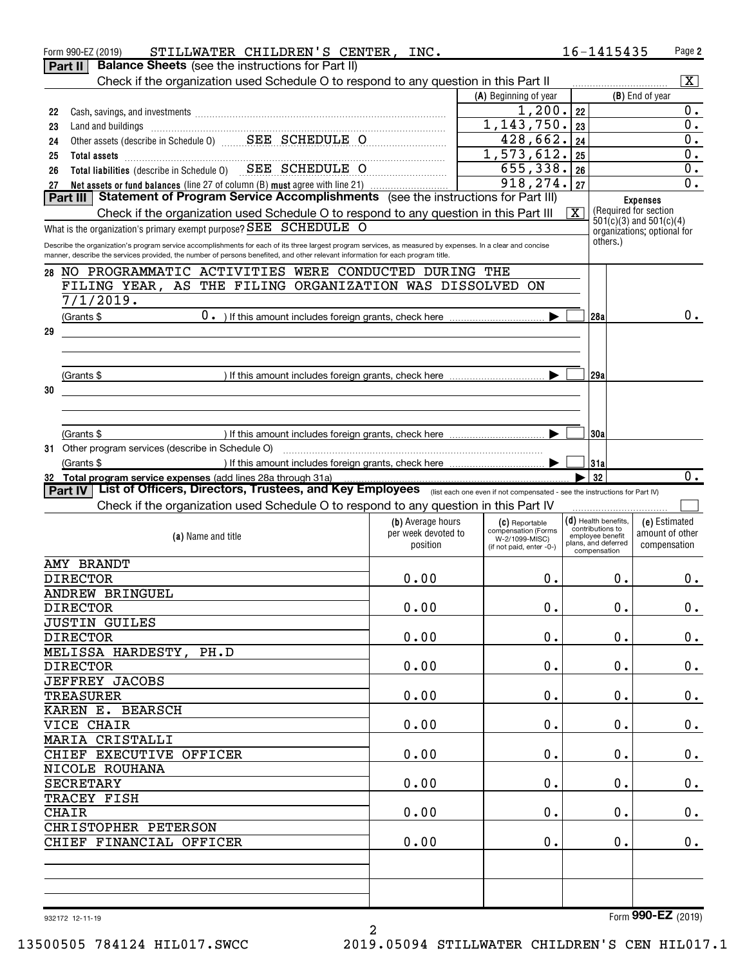|    | STILLWATER CHILDREN'S CENTER, INC.<br>Form 990-EZ (2019)                                                                                                                                                                                                                                       |                     |                                       |                         | 16-1415435                           | Page 2                      |
|----|------------------------------------------------------------------------------------------------------------------------------------------------------------------------------------------------------------------------------------------------------------------------------------------------|---------------------|---------------------------------------|-------------------------|--------------------------------------|-----------------------------|
|    | <b>Balance Sheets</b> (see the instructions for Part II)<br>Part II                                                                                                                                                                                                                            |                     |                                       |                         |                                      |                             |
|    | Check if the organization used Schedule O to respond to any question in this Part II                                                                                                                                                                                                           |                     |                                       |                         |                                      | $\overline{\mathbf{x}}$     |
|    |                                                                                                                                                                                                                                                                                                |                     | (A) Beginning of year                 |                         |                                      | (B) End of year             |
| 22 |                                                                                                                                                                                                                                                                                                |                     | 1,200.<br>1, 143, 750.                | 22                      |                                      | $0$ .<br>0.                 |
| 23 | Land and buildings<br>Other assets (describe in Schedule 0)<br>SEE SCHEDULE O                                                                                                                                                                                                                  |                     | 428,662.                              | 23                      |                                      | 0.                          |
| 24 |                                                                                                                                                                                                                                                                                                |                     | 1,573,612.                            | 24                      |                                      | 0.                          |
| 25 | Total assets <b>continuous continuous continuous continuous</b> continuous continuous continuous continuous continuous<br>Total liabilities (describe in Schedule 0) SEE SCHEDULE O                                                                                                            |                     | 655,338.                              | 25                      |                                      | 0.                          |
| 26 |                                                                                                                                                                                                                                                                                                |                     | 918,274.                              | 26<br>27                |                                      | 0.                          |
| 27 | Net assets or fund balances (line 27 of column (B) must agree with line 21)<br>Statement of Program Service Accomplishments (see the instructions for Part III)<br>Part III I                                                                                                                  |                     |                                       |                         |                                      |                             |
|    | Check if the organization used Schedule O to respond to any question in this Part III                                                                                                                                                                                                          |                     |                                       | $\overline{\mathbf{X}}$ | (Required for section)               | <b>Expenses</b>             |
|    | What is the organization's primary exempt purpose? SEE SCHEDULE O                                                                                                                                                                                                                              |                     |                                       |                         |                                      | $501(c)(3)$ and $501(c)(4)$ |
|    |                                                                                                                                                                                                                                                                                                |                     |                                       |                         | others.)                             | organizations; optional for |
|    | Describe the organization's program service accomplishments for each of its three largest program services, as measured by expenses. In a clear and concise<br>manner, describe the services provided, the number of persons benefited, and other relevant information for each program title. |                     |                                       |                         |                                      |                             |
| 28 | NO PROGRAMMATIC ACTIVITIES WERE CONDUCTED DURING THE                                                                                                                                                                                                                                           |                     |                                       |                         |                                      |                             |
|    | FILING YEAR, AS THE FILING ORGANIZATION WAS DISSOLVED ON                                                                                                                                                                                                                                       |                     |                                       |                         |                                      |                             |
|    | 7/1/2019.                                                                                                                                                                                                                                                                                      |                     |                                       |                         |                                      |                             |
|    | $(Grants \$                                                                                                                                                                                                                                                                                    |                     |                                       |                         | 128a                                 | 0.                          |
| 29 |                                                                                                                                                                                                                                                                                                |                     |                                       |                         |                                      |                             |
|    |                                                                                                                                                                                                                                                                                                |                     |                                       |                         |                                      |                             |
|    |                                                                                                                                                                                                                                                                                                |                     |                                       |                         |                                      |                             |
|    |                                                                                                                                                                                                                                                                                                |                     |                                       |                         | 129a                                 |                             |
| 30 |                                                                                                                                                                                                                                                                                                |                     |                                       |                         |                                      |                             |
|    |                                                                                                                                                                                                                                                                                                |                     |                                       |                         |                                      |                             |
|    |                                                                                                                                                                                                                                                                                                |                     |                                       |                         |                                      |                             |
|    | (Grants \$                                                                                                                                                                                                                                                                                     |                     |                                       |                         | 130a                                 |                             |
|    |                                                                                                                                                                                                                                                                                                |                     |                                       |                         |                                      |                             |
|    | (Grants \$                                                                                                                                                                                                                                                                                     |                     |                                       |                         | 131a                                 |                             |
|    | 32 Total program service expenses (add lines 28a through 31a)                                                                                                                                                                                                                                  |                     |                                       |                         | 32                                   | 0.                          |
|    | List of Officers, Directors, Trustees, and Key Employees (list each one even if not compensated - see the instructions for Part IV)<br>Part IV                                                                                                                                                 |                     |                                       |                         |                                      |                             |
|    | Check if the organization used Schedule O to respond to any question in this Part IV                                                                                                                                                                                                           |                     |                                       |                         |                                      |                             |
|    |                                                                                                                                                                                                                                                                                                | (b) Average hours   | (C) Reportable                        |                         | $(d)$ Health benefits.               | (e) Estimated               |
|    | (a) Name and title                                                                                                                                                                                                                                                                             | per week devoted to | compensation (Forms<br>W-2/1099-MISC) |                         | contributions to<br>employee benefit | amount of other             |
|    |                                                                                                                                                                                                                                                                                                | position            | (if not paid, enter -0-)              |                         | plans, and deferred<br>compensation  | compensation                |
|    | AMY BRANDT                                                                                                                                                                                                                                                                                     |                     |                                       |                         |                                      |                             |
|    | <b>DIRECTOR</b>                                                                                                                                                                                                                                                                                | 0.00                | $0$ .                                 |                         | 0.                                   | 0.                          |
|    | ANDREW BRINGUEL                                                                                                                                                                                                                                                                                |                     |                                       |                         |                                      |                             |
|    | <b>DIRECTOR</b>                                                                                                                                                                                                                                                                                | 0.00                | $0$ .                                 |                         | 0.                                   | $0_{.}$                     |
|    | <b>JUSTIN GUILES</b>                                                                                                                                                                                                                                                                           |                     |                                       |                         |                                      |                             |
|    | <b>DIRECTOR</b>                                                                                                                                                                                                                                                                                | 0.00                | $0$ .                                 |                         | 0.                                   | $0_{.}$                     |
|    | MELISSA HARDESTY, PH.D                                                                                                                                                                                                                                                                         |                     |                                       |                         |                                      |                             |
|    | <b>DIRECTOR</b>                                                                                                                                                                                                                                                                                | 0.00                | $0$ .                                 |                         | $\mathbf 0$ .                        | $0_{.}$                     |
|    | <b>JEFFREY JACOBS</b>                                                                                                                                                                                                                                                                          |                     |                                       |                         |                                      |                             |
|    | <b>TREASURER</b>                                                                                                                                                                                                                                                                               | 0.00                | $0$ .                                 |                         | $\mathbf 0$ .                        | $0_{.}$                     |
|    | KAREN E. BEARSCH                                                                                                                                                                                                                                                                               |                     |                                       |                         |                                      |                             |
|    | VICE CHAIR                                                                                                                                                                                                                                                                                     | 0.00                | $0$ .                                 |                         | 0.                                   | $0_{.}$                     |
|    |                                                                                                                                                                                                                                                                                                |                     |                                       |                         |                                      |                             |
|    | MARIA CRISTALLI                                                                                                                                                                                                                                                                                |                     |                                       |                         |                                      |                             |
|    | CHIEF EXECUTIVE OFFICER                                                                                                                                                                                                                                                                        | 0.00                | $0$ .                                 |                         | $\mathbf 0$ .                        | $0_{.}$                     |
|    | NICOLE ROUHANA                                                                                                                                                                                                                                                                                 |                     |                                       |                         |                                      |                             |
|    | <b>SECRETARY</b>                                                                                                                                                                                                                                                                               | 0.00                | $0$ .                                 |                         | 0.                                   | $0_{.}$                     |
|    | TRACEY FISH                                                                                                                                                                                                                                                                                    |                     |                                       |                         |                                      |                             |
|    | <b>CHAIR</b>                                                                                                                                                                                                                                                                                   | 0.00                | $0$ .                                 |                         | 0.                                   | $0_{.}$                     |
|    | CHRISTOPHER PETERSON                                                                                                                                                                                                                                                                           |                     |                                       |                         |                                      |                             |
|    | CHIEF FINANCIAL OFFICER                                                                                                                                                                                                                                                                        | 0.00                | 0.                                    |                         | 0.                                   | 0.                          |
|    |                                                                                                                                                                                                                                                                                                |                     |                                       |                         |                                      |                             |
|    |                                                                                                                                                                                                                                                                                                |                     |                                       |                         |                                      |                             |
|    |                                                                                                                                                                                                                                                                                                |                     |                                       |                         |                                      |                             |
|    | 932172 12-11-19                                                                                                                                                                                                                                                                                |                     |                                       |                         |                                      | Form 990-EZ (2019)          |

2

932172 12-11-19

Form 990-EZ (2019)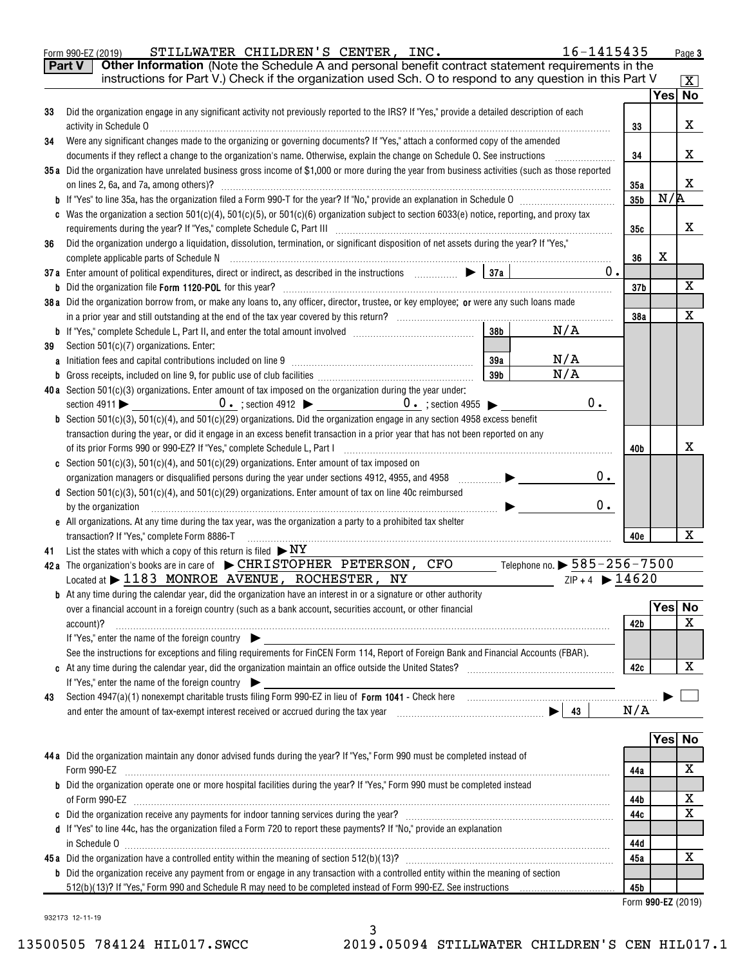|    | Part V<br>Other Information (Note the Schedule A and personal benefit contract statement requirements in the<br>instructions for Part V.) Check if the organization used Sch. O to respond to any question in this Part V                                                                                                                                                                                                                                                                                   |            |     |                         |
|----|-------------------------------------------------------------------------------------------------------------------------------------------------------------------------------------------------------------------------------------------------------------------------------------------------------------------------------------------------------------------------------------------------------------------------------------------------------------------------------------------------------------|------------|-----|-------------------------|
|    |                                                                                                                                                                                                                                                                                                                                                                                                                                                                                                             |            |     | $\mathbf{X}$<br>Yes∣ No |
| 33 | Did the organization engage in any significant activity not previously reported to the IRS? If "Yes," provide a detailed description of each                                                                                                                                                                                                                                                                                                                                                                |            |     |                         |
|    | activity in Schedule O                                                                                                                                                                                                                                                                                                                                                                                                                                                                                      | 33         |     | X                       |
| 34 | Were any significant changes made to the organizing or governing documents? If "Yes," attach a conformed copy of the amended                                                                                                                                                                                                                                                                                                                                                                                |            |     |                         |
|    | documents if they reflect a change to the organization's name. Otherwise, explain the change on Schedule O. See instructions                                                                                                                                                                                                                                                                                                                                                                                | 34         |     | х                       |
|    | 35a Did the organization have unrelated business gross income of \$1,000 or more during the year from business activities (such as those reported                                                                                                                                                                                                                                                                                                                                                           |            |     | х                       |
|    | on lines 2, 6a, and 7a, among others)?                                                                                                                                                                                                                                                                                                                                                                                                                                                                      | 35a<br>35b | N/R |                         |
|    | Was the organization a section $501(c)(4)$ , $501(c)(5)$ , or $501(c)(6)$ organization subject to section $6033(e)$ notice, reporting, and proxy tax                                                                                                                                                                                                                                                                                                                                                        |            |     |                         |
|    |                                                                                                                                                                                                                                                                                                                                                                                                                                                                                                             | 35с        |     | х                       |
| 36 | Did the organization undergo a liquidation, dissolution, termination, or significant disposition of net assets during the year? If "Yes,"                                                                                                                                                                                                                                                                                                                                                                   |            |     |                         |
|    |                                                                                                                                                                                                                                                                                                                                                                                                                                                                                                             | 36         | X   |                         |
|    | 0.                                                                                                                                                                                                                                                                                                                                                                                                                                                                                                          |            |     |                         |
|    |                                                                                                                                                                                                                                                                                                                                                                                                                                                                                                             | 37b        |     | x                       |
|    | 38a Did the organization borrow from, or make any loans to, any officer, director, trustee, or key employee; or were any such loans made                                                                                                                                                                                                                                                                                                                                                                    |            |     |                         |
|    |                                                                                                                                                                                                                                                                                                                                                                                                                                                                                                             | 38a        |     | X                       |
|    | N/A<br>38b                                                                                                                                                                                                                                                                                                                                                                                                                                                                                                  |            |     |                         |
| 39 | Section 501(c)(7) organizations. Enter:                                                                                                                                                                                                                                                                                                                                                                                                                                                                     |            |     |                         |
|    | N/A<br>39a                                                                                                                                                                                                                                                                                                                                                                                                                                                                                                  |            |     |                         |
|    | N/A<br>39 <sub>b</sub>                                                                                                                                                                                                                                                                                                                                                                                                                                                                                      |            |     |                         |
|    | 40a Section 501(c)(3) organizations. Enter amount of tax imposed on the organization during the year under:                                                                                                                                                                                                                                                                                                                                                                                                 |            |     |                         |
|    | 0.<br>section $4911$                                                                                                                                                                                                                                                                                                                                                                                                                                                                                        |            |     |                         |
|    | <b>b</b> Section 501(c)(3), 501(c)(4), and 501(c)(29) organizations. Did the organization engage in any section 4958 excess benefit                                                                                                                                                                                                                                                                                                                                                                         |            |     |                         |
|    | transaction during the year, or did it engage in an excess benefit transaction in a prior year that has not been reported on any                                                                                                                                                                                                                                                                                                                                                                            |            |     |                         |
|    | of its prior Forms 990 or 990-EZ? If "Yes," complete Schedule L, Part I<br>$\begin{minipage}[c]{0.5\textwidth} \centering \begin{tabular}{ c c c c c } \hline & \multicolumn{1}{ c }{\textbf{0.5}} & \multicolumn{1}{ c }{\textbf{0.5}} & \multicolumn{1}{ c }{\textbf{0.5}} & \multicolumn{1}{ c }{\textbf{0.5}} & \multicolumn{1}{ c }{\textbf{0.5}} & \multicolumn{1}{ c }{\textbf{0.5}} & \multicolumn{1}{ c }{\textbf{0.5}} & \multicolumn{1}{ c }{\textbf{0.5}} & \multicolumn{1}{ c }{\textbf{0.5}}$ | 40b        |     | x                       |
|    | <b>c</b> Section 501(c)(3), 501(c)(4), and 501(c)(29) organizations. Enter amount of tax imposed on                                                                                                                                                                                                                                                                                                                                                                                                         |            |     |                         |
|    | 0.<br>organization managers or disqualified persons during the year under sections 4912, 4955, and 4958<br>.                                                                                                                                                                                                                                                                                                                                                                                                |            |     |                         |
|    | d Section 501(c)(3), 501(c)(4), and 501(c)(29) organizations. Enter amount of tax on line 40c reimbursed                                                                                                                                                                                                                                                                                                                                                                                                    |            |     |                         |
|    | 0.<br>by the organization                                                                                                                                                                                                                                                                                                                                                                                                                                                                                   |            |     |                         |
|    | e All organizations. At any time during the tax year, was the organization a party to a prohibited tax shelter                                                                                                                                                                                                                                                                                                                                                                                              |            |     | X                       |
|    | transaction? If "Yes," complete Form 8886-T<br>List the states with which a copy of this return is filed $\triangleright$ NY                                                                                                                                                                                                                                                                                                                                                                                | 40e        |     |                         |
| 41 | 42a The organization's books are in care of $\blacktriangleright$ CHRISTOPHER PETERSON, CFO<br>Telephone no. $\triangleright$ 585 – 256 – 7500                                                                                                                                                                                                                                                                                                                                                              |            |     |                         |
|    | Located at > 1183 MONROE AVENUE, ROCHESTER, NY<br>$ZIP + 4$ $\triangleright$ 14620                                                                                                                                                                                                                                                                                                                                                                                                                          |            |     |                         |
|    | <b>b</b> At any time during the calendar year, did the organization have an interest in or a signature or other authority                                                                                                                                                                                                                                                                                                                                                                                   |            |     |                         |
|    | over a financial account in a foreign country (such as a bank account, securities account, or other financial                                                                                                                                                                                                                                                                                                                                                                                               |            |     | Yes No                  |
|    | account)?                                                                                                                                                                                                                                                                                                                                                                                                                                                                                                   | 42b        |     | X                       |
|    | If "Yes," enter the name of the foreign country                                                                                                                                                                                                                                                                                                                                                                                                                                                             |            |     |                         |
|    | See the instructions for exceptions and filing requirements for FinCEN Form 114, Report of Foreign Bank and Financial Accounts (FBAR).                                                                                                                                                                                                                                                                                                                                                                      |            |     |                         |
|    |                                                                                                                                                                                                                                                                                                                                                                                                                                                                                                             | 42c        |     | X                       |
|    | If "Yes," enter the name of the foreign country                                                                                                                                                                                                                                                                                                                                                                                                                                                             |            |     |                         |
| 43 |                                                                                                                                                                                                                                                                                                                                                                                                                                                                                                             |            |     |                         |
|    |                                                                                                                                                                                                                                                                                                                                                                                                                                                                                                             | N/A        |     |                         |
|    |                                                                                                                                                                                                                                                                                                                                                                                                                                                                                                             |            |     |                         |
|    |                                                                                                                                                                                                                                                                                                                                                                                                                                                                                                             |            |     | Yes∣ No                 |
|    | 44a Did the organization maintain any donor advised funds during the year? If "Yes," Form 990 must be completed instead of                                                                                                                                                                                                                                                                                                                                                                                  |            |     |                         |
|    | Form 990-EZ                                                                                                                                                                                                                                                                                                                                                                                                                                                                                                 | 44a        |     | X                       |
|    | <b>b</b> Did the organization operate one or more hospital facilities during the year? If "Yes," Form 990 must be completed instead                                                                                                                                                                                                                                                                                                                                                                         |            |     |                         |
|    |                                                                                                                                                                                                                                                                                                                                                                                                                                                                                                             | 44b        |     | X<br>$\mathbf X$        |
|    |                                                                                                                                                                                                                                                                                                                                                                                                                                                                                                             | 44c        |     |                         |
|    | d If "Yes" to line 44c, has the organization filed a Form 720 to report these payments? If "No," provide an explanation                                                                                                                                                                                                                                                                                                                                                                                     | 44d        |     |                         |
|    | in Schedule 0                                                                                                                                                                                                                                                                                                                                                                                                                                                                                               | 45a        |     | х                       |
|    | b Did the organization receive any payment from or engage in any transaction with a controlled entity within the meaning of section                                                                                                                                                                                                                                                                                                                                                                         |            |     |                         |
|    |                                                                                                                                                                                                                                                                                                                                                                                                                                                                                                             | 45b        |     |                         |
|    |                                                                                                                                                                                                                                                                                                                                                                                                                                                                                                             |            |     | Form 990-EZ (2019)      |

Form 990-EZ (2019) STILLWATER CHILDREN'S CENTER, INC.  $16-1415435$  Page

932173 12-11-19

3 13500505 784124 HIL017.SWCC 2019.05094 STILLWATER CHILDREN'S CEN HIL017.1

Page 3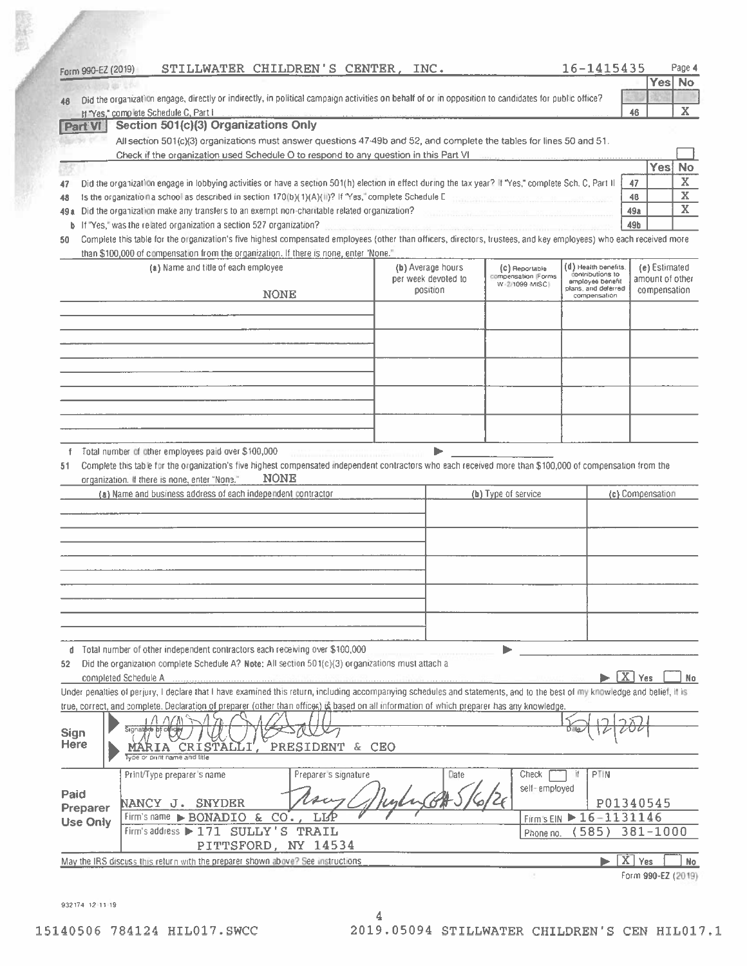| Form 990-EZ (2019)                                 |                                                                                                               |                                                                                                                                                                            |                     |                                       |                                                             | 16-1415435       | Page 4                  |
|----------------------------------------------------|---------------------------------------------------------------------------------------------------------------|----------------------------------------------------------------------------------------------------------------------------------------------------------------------------|---------------------|---------------------------------------|-------------------------------------------------------------|------------------|-------------------------|
|                                                    |                                                                                                               |                                                                                                                                                                            |                     |                                       |                                                             |                  | Yes No                  |
| 46                                                 |                                                                                                               | Did the organization engage, directly or indirectly, in political campaign activities on behalf of or in opposition to candidates for public office?                       |                     |                                       |                                                             |                  |                         |
| <b>Part VI</b>                                     | If "Yes," complete Schedule C, Part I<br>Section 501(c)(3) Organizations Only                                 |                                                                                                                                                                            |                     |                                       |                                                             | 46               | X                       |
|                                                    |                                                                                                               | All section 501(c)(3) organizations must answer questions 47-49b and 52, and complete the tables for lines 50 and 51.                                                      |                     |                                       |                                                             |                  |                         |
|                                                    |                                                                                                               | Check if the organization used Schedule O to respond to any question in this Part VI                                                                                       |                     |                                       |                                                             |                  |                         |
|                                                    |                                                                                                               |                                                                                                                                                                            |                     |                                       |                                                             | <b>Yes</b>       | <b>No</b>               |
| 47                                                 |                                                                                                               | Did the organization engage in lobbying activities or have a section 501(h) election in effect during the tax year? If "Yes," complete Sch. C, Part II                     |                     |                                       |                                                             | 47               | $\overline{\mathbf{X}}$ |
| 48                                                 |                                                                                                               | Is the organization a school as described in section 170(b)(1)(A)(ii)? If "Yes," complete Schedule E                                                                       |                     |                                       |                                                             | 48               | $\overline{\textbf{X}}$ |
| 49 a                                               |                                                                                                               | Did the organization make any transfers to an exempt non-charitable related organization?                                                                                  |                     |                                       |                                                             | 49a              | $\mathbf{X}$            |
| b<br>50                                            | If "Yes," was the related organization a section 527 organization?                                            | Complete this table for the organization's five highest compensated employees (other than officers, directors, trustees, and key employees) who each received more         |                     |                                       |                                                             | 49b              |                         |
|                                                    |                                                                                                               | than \$100,000 of compensation from the organization. If there is none, enter "None."                                                                                      |                     |                                       |                                                             |                  |                         |
|                                                    | (a) Name and title of each employee                                                                           |                                                                                                                                                                            | (b) Average hours   | (C) Reportable                        | (d) Health benefits.                                        | (e) Estimated    |                         |
|                                                    |                                                                                                               |                                                                                                                                                                            | per week devoted to | compensation (Forms<br>W-2/1099-MISC) | contributions to<br>employee benefit<br>plans, and deferred | amount of other  |                         |
|                                                    |                                                                                                               | <b>NONE</b>                                                                                                                                                                | position            |                                       | compensation                                                | compensation     |                         |
|                                                    |                                                                                                               |                                                                                                                                                                            |                     |                                       |                                                             |                  |                         |
|                                                    |                                                                                                               |                                                                                                                                                                            |                     |                                       |                                                             |                  |                         |
|                                                    |                                                                                                               |                                                                                                                                                                            |                     |                                       |                                                             |                  |                         |
|                                                    |                                                                                                               |                                                                                                                                                                            |                     |                                       |                                                             |                  |                         |
|                                                    |                                                                                                               |                                                                                                                                                                            |                     |                                       |                                                             |                  |                         |
|                                                    |                                                                                                               |                                                                                                                                                                            |                     |                                       |                                                             |                  |                         |
|                                                    |                                                                                                               |                                                                                                                                                                            |                     |                                       |                                                             |                  |                         |
|                                                    |                                                                                                               |                                                                                                                                                                            |                     |                                       |                                                             |                  |                         |
|                                                    |                                                                                                               |                                                                                                                                                                            |                     |                                       |                                                             |                  |                         |
|                                                    | Total number of other employees paid over \$100,000                                                           | Complete this table for the organization's five highest compensated independent contractors who each received more than \$100,000 of compensation from the                 |                     |                                       |                                                             |                  |                         |
| f.                                                 | organization. If there is none, enter "None."<br>(a) Name and business address of each independent contractor | <b>NONE</b>                                                                                                                                                                |                     | (b) Type of service                   |                                                             | (c) Compensation |                         |
|                                                    |                                                                                                               |                                                                                                                                                                            |                     |                                       |                                                             |                  |                         |
|                                                    |                                                                                                               |                                                                                                                                                                            |                     |                                       |                                                             |                  |                         |
|                                                    |                                                                                                               |                                                                                                                                                                            |                     |                                       |                                                             |                  |                         |
|                                                    |                                                                                                               |                                                                                                                                                                            |                     |                                       |                                                             |                  |                         |
|                                                    |                                                                                                               |                                                                                                                                                                            |                     |                                       |                                                             |                  |                         |
|                                                    |                                                                                                               |                                                                                                                                                                            |                     |                                       |                                                             |                  |                         |
|                                                    |                                                                                                               |                                                                                                                                                                            |                     |                                       |                                                             |                  |                         |
|                                                    |                                                                                                               |                                                                                                                                                                            |                     |                                       |                                                             |                  |                         |
|                                                    |                                                                                                               |                                                                                                                                                                            |                     |                                       |                                                             |                  |                         |
| d                                                  |                                                                                                               | Total number of other independent contractors each receiving over \$100,000                                                                                                |                     |                                       |                                                             |                  |                         |
|                                                    |                                                                                                               | Did the organization complete Schedule A? Note: All section 501(c)(3) organizations must attach a                                                                          |                     |                                       |                                                             |                  |                         |
| completed Schedule A                               |                                                                                                               | Under penalties of perjury, I declare that I have examined this return, including accompanying schedules and statements, and to the best of my knowledge and belief, it is |                     |                                       |                                                             | $\boxed{X}$ Yes  |                         |
| 51<br>52                                           |                                                                                                               | true, correct, and complete. Declaration of preparer (other than offices) is based on all information of which preparer has any knowledge.                                 |                     |                                       |                                                             |                  |                         |
|                                                    |                                                                                                               |                                                                                                                                                                            |                     |                                       |                                                             |                  |                         |
| Sign                                               |                                                                                                               | NV YA                                                                                                                                                                      |                     |                                       |                                                             |                  |                         |
|                                                    |                                                                                                               | PRESIDENT & CEO                                                                                                                                                            |                     |                                       |                                                             |                  |                         |
|                                                    | print name and title                                                                                          |                                                                                                                                                                            |                     |                                       |                                                             |                  |                         |
|                                                    | Print/Type preparer's name                                                                                    | Preparer's signature                                                                                                                                                       | Date                | Check                                 | PTIN<br>ïf                                                  |                  |                         |
|                                                    |                                                                                                               |                                                                                                                                                                            |                     | self-employed                         |                                                             |                  |                         |
|                                                    | NANCY J.<br><b>SNYDER</b>                                                                                     | CO <sub>2</sub><br>T.T4P                                                                                                                                                   |                     |                                       |                                                             | P01340545        |                         |
|                                                    | Firm's name BONADIO &<br>Firm's address > 171 SULLY'S                                                         | TRAIL                                                                                                                                                                      |                     | Firm's EIN ▶<br>Phone no.             | 16-1131146<br>585)                                          | $381 - 1000$     |                         |
|                                                    |                                                                                                               | PITTSFORD, NY 14534                                                                                                                                                        |                     |                                       |                                                             |                  |                         |
| <b>Here</b><br>Paid<br>Preparer<br><b>Use Only</b> |                                                                                                               | May the IRS discuss this return with the preparer shown above? See instructions                                                                                            |                     |                                       | X                                                           | Yes              | No.<br>No.              |

932174 12 11:19

政務局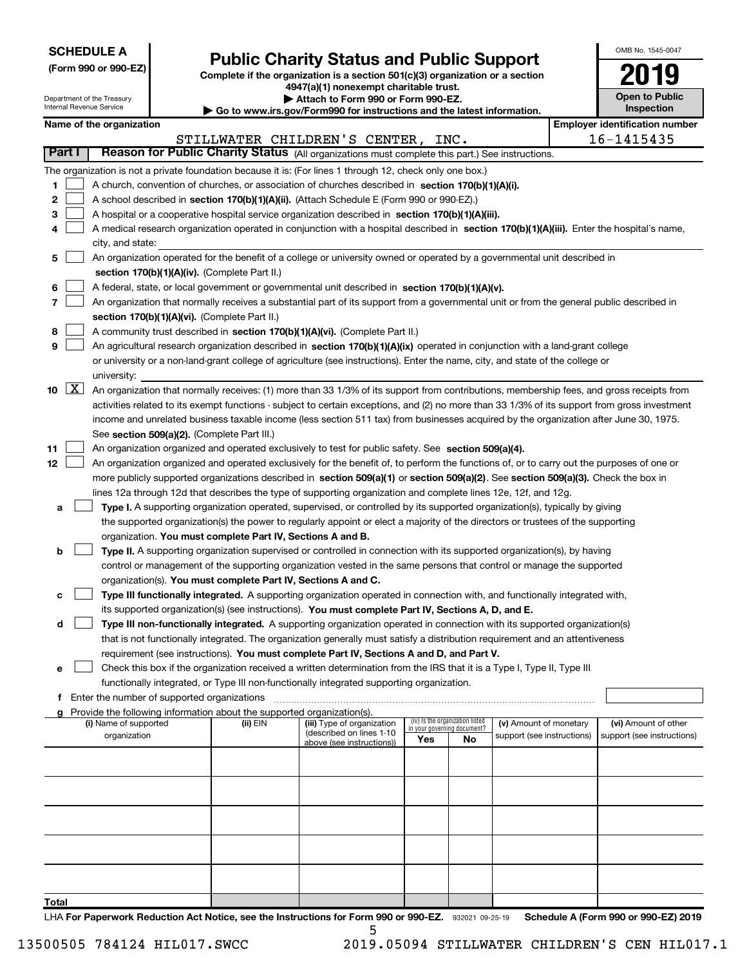| <b>SCHEDULE A</b> |
|-------------------|
|-------------------|

Department of the Treasury Internal Revenue Service

| (Form 990 or 990-EZ) |  |  |  |  |
|----------------------|--|--|--|--|
|----------------------|--|--|--|--|

# Public Charity Status and Public Support

Complete if the organization is a section 501(c)(3) organization or a section 4947(a)(1) nonexempt charitable trust.

| Attach to Form 990 or Form 990-EZ. |  |
|------------------------------------|--|
|------------------------------------|--|

| Go to www.irs.gov/Form990 for instructions and the latest information.

| OMB No 1545-0047                    |
|-------------------------------------|
| 2019                                |
| <b>Open to Public</b><br>Inspection |

|               |                             | Name of the organization                                                                                                                      |          |                               |                                    |                                 |                            | <b>Employer identification number</b> |
|---------------|-----------------------------|-----------------------------------------------------------------------------------------------------------------------------------------------|----------|-------------------------------|------------------------------------|---------------------------------|----------------------------|---------------------------------------|
|               |                             |                                                                                                                                               |          | STILLWATER CHILDREN'S CENTER, |                                    | INC.                            |                            | 16-1415435                            |
| <b>Part I</b> |                             | Reason for Public Charity Status (All organizations must complete this part.) See instructions.                                               |          |                               |                                    |                                 |                            |                                       |
|               |                             | The organization is not a private foundation because it is: (For lines 1 through 12, check only one box.)                                     |          |                               |                                    |                                 |                            |                                       |
| 1.            |                             | A church, convention of churches, or association of churches described in section 170(b)(1)(A)(i).                                            |          |                               |                                    |                                 |                            |                                       |
| 2             |                             | A school described in section 170(b)(1)(A)(ii). (Attach Schedule E (Form 990 or 990-EZ).)                                                     |          |                               |                                    |                                 |                            |                                       |
| з             |                             | A hospital or a cooperative hospital service organization described in section 170(b)(1)(A)(iii).                                             |          |                               |                                    |                                 |                            |                                       |
| 4             |                             | A medical research organization operated in conjunction with a hospital described in section 170(b)(1)(A)(iii). Enter the hospital's name,    |          |                               |                                    |                                 |                            |                                       |
|               |                             | city, and state:                                                                                                                              |          |                               |                                    |                                 |                            |                                       |
| 5             |                             | An organization operated for the benefit of a college or university owned or operated by a governmental unit described in                     |          |                               |                                    |                                 |                            |                                       |
|               |                             | section 170(b)(1)(A)(iv). (Complete Part II.)                                                                                                 |          |                               |                                    |                                 |                            |                                       |
| 6             |                             | A federal, state, or local government or governmental unit described in section 170(b)(1)(A)(v).                                              |          |                               |                                    |                                 |                            |                                       |
| 7             |                             | An organization that normally receives a substantial part of its support from a governmental unit or from the general public described in     |          |                               |                                    |                                 |                            |                                       |
|               |                             | section 170(b)(1)(A)(vi). (Complete Part II.)                                                                                                 |          |                               |                                    |                                 |                            |                                       |
|               |                             | A community trust described in section 170(b)(1)(A)(vi). (Complete Part II.)                                                                  |          |                               |                                    |                                 |                            |                                       |
| 8<br>9        |                             |                                                                                                                                               |          |                               |                                    |                                 |                            |                                       |
|               |                             | An agricultural research organization described in section 170(b)(1)(A)(ix) operated in conjunction with a land-grant college                 |          |                               |                                    |                                 |                            |                                       |
|               |                             | or university or a non-land-grant college of agriculture (see instructions). Enter the name, city, and state of the college or                |          |                               |                                    |                                 |                            |                                       |
|               | $10 \quad \boxed{\text{X}}$ | university:                                                                                                                                   |          |                               |                                    |                                 |                            |                                       |
|               |                             | An organization that normally receives: (1) more than 33 1/3% of its support from contributions, membership fees, and gross receipts from     |          |                               |                                    |                                 |                            |                                       |
|               |                             | activities related to its exempt functions - subject to certain exceptions, and (2) no more than 33 1/3% of its support from gross investment |          |                               |                                    |                                 |                            |                                       |
|               |                             | income and unrelated business taxable income (less section 511 tax) from businesses acquired by the organization after June 30, 1975.         |          |                               |                                    |                                 |                            |                                       |
|               |                             | See section 509(a)(2). (Complete Part III.)                                                                                                   |          |                               |                                    |                                 |                            |                                       |
| 11            |                             | An organization organized and operated exclusively to test for public safety. See section 509(a)(4).                                          |          |                               |                                    |                                 |                            |                                       |
| 12            |                             | An organization organized and operated exclusively for the benefit of, to perform the functions of, or to carry out the purposes of one or    |          |                               |                                    |                                 |                            |                                       |
|               |                             | more publicly supported organizations described in section 509(a)(1) or section 509(a)(2). See section 509(a)(3). Check the box in            |          |                               |                                    |                                 |                            |                                       |
|               |                             | lines 12a through 12d that describes the type of supporting organization and complete lines 12e, 12f, and 12g.                                |          |                               |                                    |                                 |                            |                                       |
| а             |                             | Type I. A supporting organization operated, supervised, or controlled by its supported organization(s), typically by giving                   |          |                               |                                    |                                 |                            |                                       |
|               |                             | the supported organization(s) the power to regularly appoint or elect a majority of the directors or trustees of the supporting               |          |                               |                                    |                                 |                            |                                       |
|               |                             | organization. You must complete Part IV, Sections A and B.                                                                                    |          |                               |                                    |                                 |                            |                                       |
| b             |                             | Type II. A supporting organization supervised or controlled in connection with its supported organization(s), by having                       |          |                               |                                    |                                 |                            |                                       |
|               |                             | control or management of the supporting organization vested in the same persons that control or manage the supported                          |          |                               |                                    |                                 |                            |                                       |
|               |                             | organization(s). You must complete Part IV, Sections A and C.                                                                                 |          |                               |                                    |                                 |                            |                                       |
| c             |                             | Type III functionally integrated. A supporting organization operated in connection with, and functionally integrated with,                    |          |                               |                                    |                                 |                            |                                       |
|               |                             | its supported organization(s) (see instructions). You must complete Part IV, Sections A, D, and E.                                            |          |                               |                                    |                                 |                            |                                       |
| d             |                             | Type III non-functionally integrated. A supporting organization operated in connection with its supported organization(s)                     |          |                               |                                    |                                 |                            |                                       |
|               |                             | that is not functionally integrated. The organization generally must satisfy a distribution requirement and an attentiveness                  |          |                               |                                    |                                 |                            |                                       |
|               |                             | requirement (see instructions). You must complete Part IV, Sections A and D, and Part V.                                                      |          |                               |                                    |                                 |                            |                                       |
|               |                             | Check this box if the organization received a written determination from the IRS that it is a Type I, Type II, Type III                       |          |                               |                                    |                                 |                            |                                       |
|               |                             | functionally integrated, or Type III non-functionally integrated supporting organization.                                                     |          |                               |                                    |                                 |                            |                                       |
|               |                             | f Enter the number of supported organizations                                                                                                 |          |                               |                                    |                                 |                            |                                       |
| a             |                             | Provide the following information about the supported organization(s).<br>(i) Name of supported                                               | (ii) EIN | (iii) Type of organization    |                                    | (iv) Is the organization listed | (v) Amount of monetary     | (vi) Amount of other                  |
|               |                             | organization                                                                                                                                  |          | (described on lines 1-10)     | in your governing document?<br>Yes | No                              | support (see instructions) | support (see instructions)            |
|               |                             |                                                                                                                                               |          | above (see instructions))     |                                    |                                 |                            |                                       |
|               |                             |                                                                                                                                               |          |                               |                                    |                                 |                            |                                       |
|               |                             |                                                                                                                                               |          |                               |                                    |                                 |                            |                                       |
|               |                             |                                                                                                                                               |          |                               |                                    |                                 |                            |                                       |
|               |                             |                                                                                                                                               |          |                               |                                    |                                 |                            |                                       |
|               |                             |                                                                                                                                               |          |                               |                                    |                                 |                            |                                       |
|               |                             |                                                                                                                                               |          |                               |                                    |                                 |                            |                                       |
|               |                             |                                                                                                                                               |          |                               |                                    |                                 |                            |                                       |
|               |                             |                                                                                                                                               |          |                               |                                    |                                 |                            |                                       |
|               |                             |                                                                                                                                               |          |                               |                                    |                                 |                            |                                       |
|               |                             |                                                                                                                                               |          |                               |                                    |                                 |                            |                                       |
| <b>Total</b>  |                             |                                                                                                                                               |          |                               |                                    |                                 |                            |                                       |

LHA For Paperwork Reduction Act Notice, see the Instructions for Form 990 or 990-EZ. 932021 09-25-19 Schedule A (Form 990 or 990-EZ) 2019 5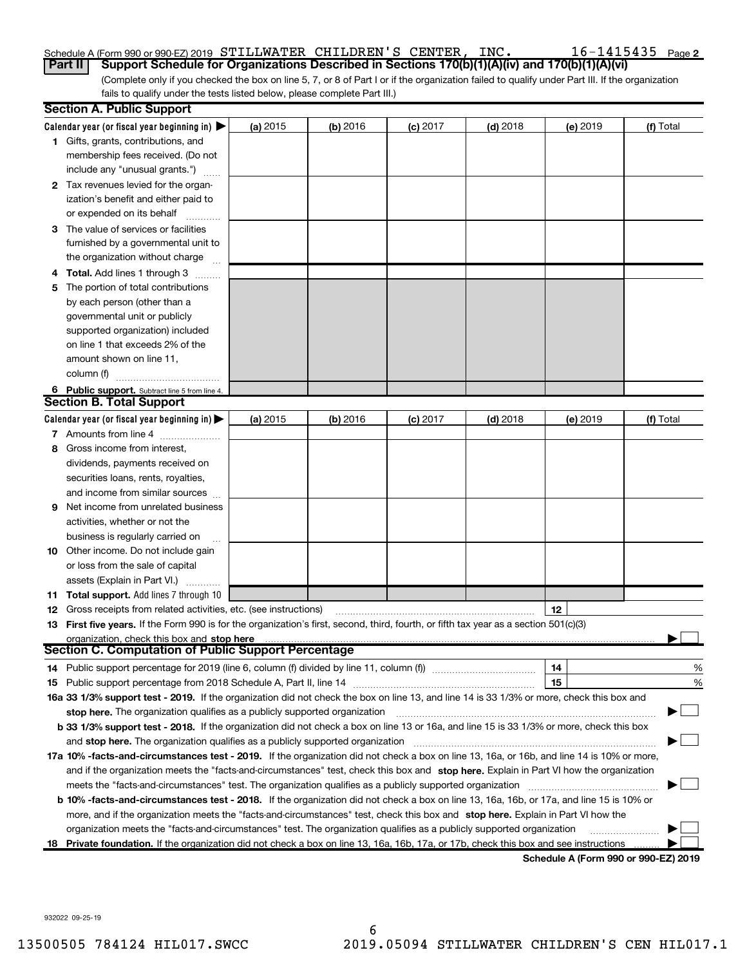# Schedule A (Form 990 or 990-EZ) 2019 STILLWATER CHILDREN'S CENTER, INC.  $16-1415435$  Page

(Complete only if you checked the box on line 5, 7, or 8 of Part I or if the organization failed to qualify under Part III. If the organization fails to qualify under the tests listed below, please complete Part III.) Part II | Support Schedule for Organizations Described in Sections 170(b)(1)(A)(iv) and 170(b)(1)(A)(vi)

|     | <b>Section A. Public Support</b>                                                                                                               |          |            |            |            |                                      |           |
|-----|------------------------------------------------------------------------------------------------------------------------------------------------|----------|------------|------------|------------|--------------------------------------|-----------|
|     | Calendar year (or fiscal year beginning in) $\blacktriangleright$                                                                              | (a) 2015 | $(b)$ 2016 | $(c)$ 2017 | $(d)$ 2018 | (e) 2019                             | (f) Total |
|     | <b>1</b> Gifts, grants, contributions, and                                                                                                     |          |            |            |            |                                      |           |
|     | membership fees received. (Do not                                                                                                              |          |            |            |            |                                      |           |
|     | include any "unusual grants.")                                                                                                                 |          |            |            |            |                                      |           |
|     | 2 Tax revenues levied for the organ-                                                                                                           |          |            |            |            |                                      |           |
|     | ization's benefit and either paid to                                                                                                           |          |            |            |            |                                      |           |
|     | or expended on its behalf                                                                                                                      |          |            |            |            |                                      |           |
|     | 3 The value of services or facilities                                                                                                          |          |            |            |            |                                      |           |
|     | furnished by a governmental unit to                                                                                                            |          |            |            |            |                                      |           |
|     | the organization without charge                                                                                                                |          |            |            |            |                                      |           |
|     | 4 Total. Add lines 1 through 3                                                                                                                 |          |            |            |            |                                      |           |
| 5   | The portion of total contributions                                                                                                             |          |            |            |            |                                      |           |
|     | by each person (other than a                                                                                                                   |          |            |            |            |                                      |           |
|     | governmental unit or publicly                                                                                                                  |          |            |            |            |                                      |           |
|     | supported organization) included                                                                                                               |          |            |            |            |                                      |           |
|     | on line 1 that exceeds 2% of the                                                                                                               |          |            |            |            |                                      |           |
|     | amount shown on line 11.                                                                                                                       |          |            |            |            |                                      |           |
|     | column (f)                                                                                                                                     |          |            |            |            |                                      |           |
|     | 6 Public support. Subtract line 5 from line 4.                                                                                                 |          |            |            |            |                                      |           |
|     | <b>Section B. Total Support</b>                                                                                                                |          |            |            |            |                                      |           |
|     | Calendar year (or fiscal year beginning in) $\blacktriangleright$                                                                              | (a) 2015 | (b) 2016   | $(c)$ 2017 | $(d)$ 2018 | (e) 2019                             | (f) Total |
|     | 7 Amounts from line 4                                                                                                                          |          |            |            |            |                                      |           |
| 8   | Gross income from interest,                                                                                                                    |          |            |            |            |                                      |           |
|     | dividends, payments received on                                                                                                                |          |            |            |            |                                      |           |
|     | securities loans, rents, royalties,                                                                                                            |          |            |            |            |                                      |           |
|     | and income from similar sources                                                                                                                |          |            |            |            |                                      |           |
| 9   | Net income from unrelated business                                                                                                             |          |            |            |            |                                      |           |
|     | activities, whether or not the                                                                                                                 |          |            |            |            |                                      |           |
|     | business is regularly carried on                                                                                                               |          |            |            |            |                                      |           |
|     | <b>10</b> Other income. Do not include gain                                                                                                    |          |            |            |            |                                      |           |
|     | or loss from the sale of capital                                                                                                               |          |            |            |            |                                      |           |
|     | assets (Explain in Part VI.)                                                                                                                   |          |            |            |            |                                      |           |
| 11. | <b>Total support.</b> Add lines 7 through 10                                                                                                   |          |            |            |            |                                      |           |
|     | <b>12</b> Gross receipts from related activities, etc. (see instructions)                                                                      |          |            |            |            | 12                                   |           |
|     | 13 First five years. If the Form 990 is for the organization's first, second, third, fourth, or fifth tax year as a section 501(c)(3)          |          |            |            |            |                                      |           |
|     | organization, check this box and stop here                                                                                                     |          |            |            |            |                                      |           |
|     | <b>Section C. Computation of Public Support Percentage</b>                                                                                     |          |            |            |            |                                      |           |
|     |                                                                                                                                                |          |            |            |            | 14                                   | %         |
|     |                                                                                                                                                |          |            |            |            | 15                                   | %         |
|     | 16a 33 1/3% support test - 2019. If the organization did not check the box on line 13, and line 14 is 33 1/3% or more, check this box and      |          |            |            |            |                                      |           |
|     | stop here. The organization qualifies as a publicly supported organization                                                                     |          |            |            |            |                                      |           |
|     | b 33 1/3% support test - 2018. If the organization did not check a box on line 13 or 16a, and line 15 is 33 1/3% or more, check this box       |          |            |            |            |                                      |           |
|     | and stop here. The organization qualifies as a publicly supported organization                                                                 |          |            |            |            |                                      |           |
|     | 17a 10% -facts-and-circumstances test - 2019. If the organization did not check a box on line 13, 16a, or 16b, and line 14 is 10% or more,     |          |            |            |            |                                      |           |
|     | and if the organization meets the "facts-and-circumstances" test, check this box and stop here. Explain in Part VI how the organization        |          |            |            |            |                                      |           |
|     | meets the "facts-and-circumstances" test. The organization qualifies as a publicly supported organization                                      |          |            |            |            |                                      |           |
|     | <b>b 10% -facts-and-circumstances test - 2018.</b> If the organization did not check a box on line 13, 16a, 16b, or 17a, and line 15 is 10% or |          |            |            |            |                                      |           |
|     | more, and if the organization meets the "facts-and-circumstances" test, check this box and stop here. Explain in Part VI how the               |          |            |            |            |                                      |           |
|     | organization meets the "facts-and-circumstances" test. The organization qualifies as a publicly supported organization                         |          |            |            |            |                                      |           |
|     | 18 Private foundation. If the organization did not check a box on line 13, 16a, 16b, 17a, or 17b, check this box and see instructions          |          |            |            |            |                                      |           |
|     |                                                                                                                                                |          |            |            |            | Schedule A (Form 990 or 990-F7) 2019 |           |

Schedule A (Form 990 or 990-EZ) 2019

932022 09-25-19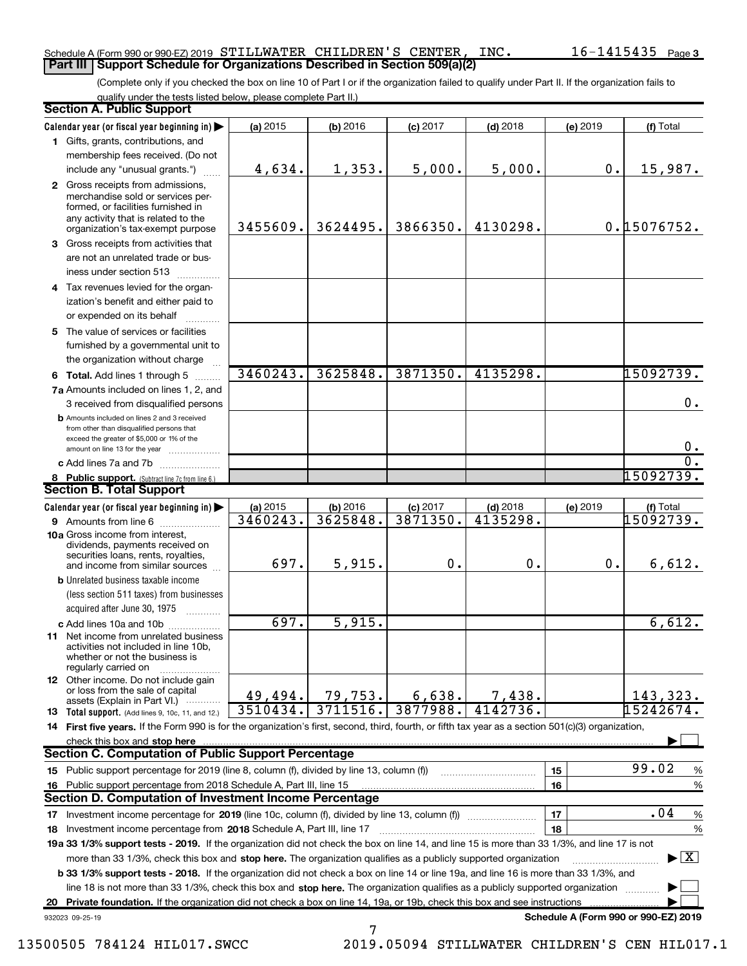#### Schedule A (Form 990 or 990-EZ) 2019 STILLWATER CHILDREN'S CENTER, INC.  $16-1415435$  Page **Part III | Support Schedule for Organizations Described in Section 509(a)(2)**

(Complete only if you checked the box on line 10 of Part I or if the organization failed to qualify under Part II. If the organization fails to qualify under the tests listed below, please complete Part II.)

|    | <b>Section A. Public Support</b>                                                                                                                                                         |                      |                      |                        |                        |                                      |                                          |
|----|------------------------------------------------------------------------------------------------------------------------------------------------------------------------------------------|----------------------|----------------------|------------------------|------------------------|--------------------------------------|------------------------------------------|
|    | Calendar year (or fiscal year beginning in)                                                                                                                                              | (a) 2015             | (b) 2016             | $(c)$ 2017             | $(d)$ 2018             | (e) 2019                             | (f) Total                                |
|    | 1 Gifts, grants, contributions, and                                                                                                                                                      |                      |                      |                        |                        |                                      |                                          |
|    | membership fees received. (Do not                                                                                                                                                        |                      |                      |                        |                        |                                      |                                          |
|    | include any "unusual grants.")                                                                                                                                                           | 4,634.               | 1,353.               | 5,000.                 | 5,000.                 | 0.                                   | 15,987.                                  |
|    | 2 Gross receipts from admissions,<br>merchandise sold or services per-<br>formed, or facilities furnished in<br>any activity that is related to the<br>organization's tax-exempt purpose | 3455609.             | 3624495.             | 3866350.               | 4130298.               |                                      | 0.15076752.                              |
|    | 3 Gross receipts from activities that                                                                                                                                                    |                      |                      |                        |                        |                                      |                                          |
|    | are not an unrelated trade or bus-<br>iness under section 513                                                                                                                            |                      |                      |                        |                        |                                      |                                          |
|    | 4 Tax revenues levied for the organ-                                                                                                                                                     |                      |                      |                        |                        |                                      |                                          |
|    | ization's benefit and either paid to<br>or expended on its behalf                                                                                                                        |                      |                      |                        |                        |                                      |                                          |
|    | 5 The value of services or facilities                                                                                                                                                    |                      |                      |                        |                        |                                      |                                          |
|    | furnished by a governmental unit to<br>the organization without charge                                                                                                                   |                      |                      |                        |                        |                                      |                                          |
|    | 6 Total. Add lines 1 through 5                                                                                                                                                           | 3460243.             | 3625848.             | 3871350.               | 4135298.               |                                      | 15092739.                                |
|    | 7a Amounts included on lines 1, 2, and                                                                                                                                                   |                      |                      |                        |                        |                                      |                                          |
|    | 3 received from disqualified persons                                                                                                                                                     |                      |                      |                        |                        |                                      | 0.                                       |
|    | <b>b</b> Amounts included on lines 2 and 3 received<br>from other than disqualified persons that<br>exceed the greater of \$5,000 or 1% of the                                           |                      |                      |                        |                        |                                      |                                          |
|    | amount on line 13 for the year                                                                                                                                                           |                      |                      |                        |                        |                                      | 0.                                       |
|    | c Add lines 7a and 7b                                                                                                                                                                    |                      |                      |                        |                        |                                      | $\overline{0}$ .                         |
|    | 8 Public support. (Subtract line 7c from line 6.)<br><b>Section B. Total Support</b>                                                                                                     |                      |                      |                        |                        |                                      | 15092739.                                |
|    |                                                                                                                                                                                          |                      |                      |                        |                        |                                      |                                          |
|    | Calendar year (or fiscal year beginning in)<br><b>9</b> Amounts from line 6                                                                                                              | (a) 2015<br>3460243. | (b) 2016<br>3625848. | $(c)$ 2017<br>3871350. | $(d)$ 2018<br>4135298. | (e) 2019                             | (f) Total<br>15092739.                   |
|    | 10a Gross income from interest,                                                                                                                                                          |                      |                      |                        |                        |                                      |                                          |
|    | dividends, payments received on<br>securities loans, rents, royalties,<br>and income from similar sources                                                                                | 697.                 | 5,915.               | 0.                     | 0.                     | 0.                                   | 6,612.                                   |
|    | <b>b</b> Unrelated business taxable income                                                                                                                                               |                      |                      |                        |                        |                                      |                                          |
|    | (less section 511 taxes) from businesses                                                                                                                                                 |                      |                      |                        |                        |                                      |                                          |
|    | acquired after June 30, 1975                                                                                                                                                             |                      |                      |                        |                        |                                      |                                          |
|    | c Add lines 10a and 10b                                                                                                                                                                  | 697.                 | 5,915.               |                        |                        |                                      | 6,612.                                   |
|    | 11 Net income from unrelated business<br>activities not included in line 10b.<br>whether or not the business is<br>regularly carried on                                                  |                      |                      |                        |                        |                                      |                                          |
|    | <b>12</b> Other income. Do not include gain<br>or loss from the sale of capital<br>assets (Explain in Part VI.)                                                                          | 49,494.              | 79,753.              | 6,638.                 | 7,438.                 |                                      | 143,323.                                 |
|    | 13 Total support. (Add lines 9, 10c, 11, and 12.)                                                                                                                                        | 3510434.             | 3711516.             | 3877988.               | 4142736.               |                                      | 15242674.                                |
|    | 14 First five years. If the Form 990 is for the organization's first, second, third, fourth, or fifth tax year as a section 501(c)(3) organization,                                      |                      |                      |                        |                        |                                      |                                          |
|    | check this box and stop here                                                                                                                                                             |                      |                      |                        |                        |                                      |                                          |
|    | <b>Section C. Computation of Public Support Percentage</b>                                                                                                                               |                      |                      |                        |                        |                                      |                                          |
|    | 15 Public support percentage for 2019 (line 8, column (f), divided by line 13, column (f))                                                                                               |                      |                      |                        |                        | 15                                   | 99.02<br>%                               |
|    | 16 Public support percentage from 2018 Schedule A, Part III, line 15                                                                                                                     |                      |                      |                        |                        | 16                                   | %                                        |
|    | <b>Section D. Computation of Investment Income Percentage</b>                                                                                                                            |                      |                      |                        |                        |                                      |                                          |
|    | 17 Investment income percentage for 2019 (line 10c, column (f), divided by line 13, column (f))                                                                                          |                      |                      |                        |                        | 17                                   | .04<br>$\frac{9}{6}$                     |
|    | 18 Investment income percentage from 2018 Schedule A, Part III, line 17                                                                                                                  |                      |                      |                        |                        | 18                                   | %                                        |
|    | 19a 33 1/3% support tests - 2019. If the organization did not check the box on line 14, and line 15 is more than 33 1/3%, and line 17 is not                                             |                      |                      |                        |                        |                                      |                                          |
|    | more than 33 1/3%, check this box and stop here. The organization qualifies as a publicly supported organization                                                                         |                      |                      |                        |                        |                                      | $\blacktriangleright$ $\boxed{\text{X}}$ |
|    | <b>b 33 1/3% support tests - 2018.</b> If the organization did not check a box on line 14 or line 19a, and line 16 is more than 33 1/3%, and                                             |                      |                      |                        |                        |                                      |                                          |
|    | line 18 is not more than 33 1/3%, check this box and stop here. The organization qualifies as a publicly supported organization                                                          |                      |                      |                        |                        |                                      |                                          |
| 20 | Private foundation. If the organization did not check a box on line 14, 19a, or 19b, check this box and see instructions                                                                 |                      |                      |                        |                        |                                      |                                          |
|    | 932023 09-25-19                                                                                                                                                                          |                      |                      |                        |                        | Schedule A (Form 990 or 990-EZ) 2019 |                                          |

7

13500505 784124 HIL017.SWCC 2019.05094 STILLWATER CHILDREN'S CEN HIL017.1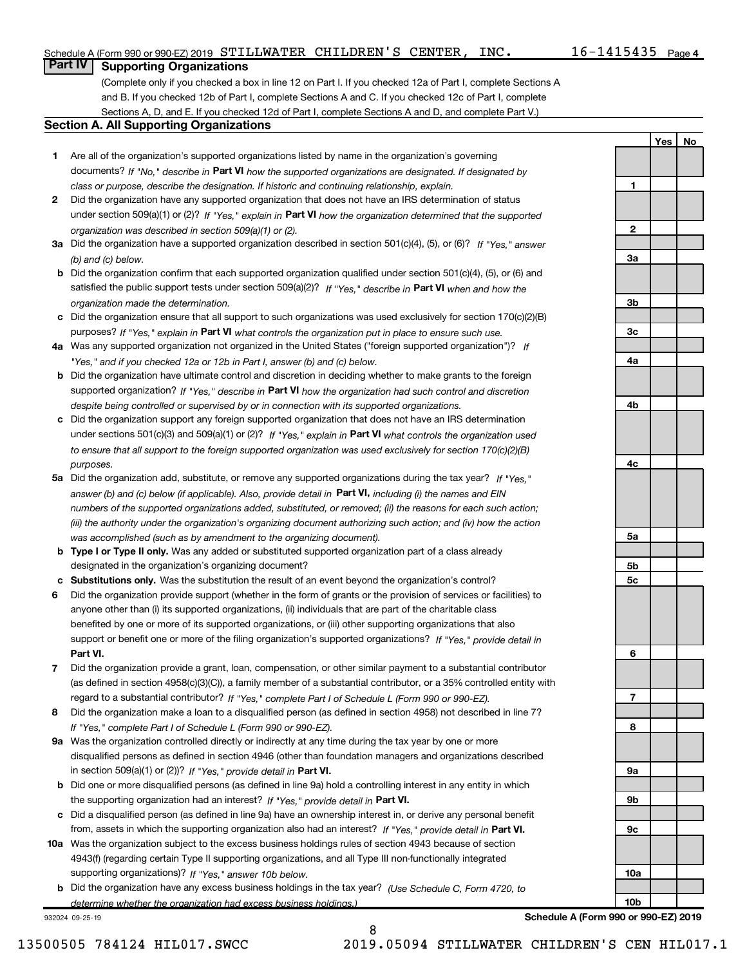Yes | No

# **Part IV | Supporting Organizations**

(Complete only if you checked a box in line 12 on Part I. If you checked 12a of Part I, complete Sections A and B. If you checked 12b of Part I, complete Sections A and C. If you checked 12c of Part I, complete Sections A, D, and E. If you checked 12d of Part I, complete Sections A and D, and complete Part V.)

#### Section A. All Supporting Organizations

- 1 Are all of the organization's supported organizations listed by name in the organization's governing documents? If "No," describe in Part VI how the supported organizations are designated. If designated by class or purpose, describe the designation. If historic and continuing relationship, explain.
- 2 Did the organization have any supported organization that does not have an IRS determination of status under section 509(a)(1) or (2)? If "Yes," explain in Part VI how the organization determined that the supported organization was described in section 509(a)(1) or (2).
- 3a Did the organization have a supported organization described in section 501(c)(4), (5), or (6)? If "Yes," answer (b) and (c) below.
- b Did the organization confirm that each supported organization qualified under section 501(c)(4), (5), or (6) and satisfied the public support tests under section 509(a)(2)? If "Yes," describe in Part VI when and how the organization made the determination.
- c Did the organization ensure that all support to such organizations was used exclusively for section 170(c)(2)(B) purposes? If "Yes," explain in Part VI what controls the organization put in place to ensure such use.
- 4a Was any supported organization not organized in the United States ("foreign supported organization")? If "Yes," and if you checked 12a or 12b in Part I, answer (b) and (c) below.
- **b** Did the organization have ultimate control and discretion in deciding whether to make grants to the foreign supported organization? If "Yes," describe in Part VI how the organization had such control and discretion despite being controlled or supervised by or in connection with its supported organizations.
- c Did the organization support any foreign supported organization that does not have an IRS determination under sections 501(c)(3) and 509(a)(1) or (2)? If "Yes," explain in Part VI what controls the organization used to ensure that all support to the foreign supported organization was used exclusively for section 170(c)(2)(B) purposes.
- 5a Did the organization add, substitute, or remove any supported organizations during the tax year? If "Yes," answer (b) and (c) below (if applicable). Also, provide detail in Part VI, including (i) the names and EIN numbers of the supported organizations added, substituted, or removed; (ii) the reasons for each such action; (iii) the authority under the organization's organizing document authorizing such action; and (iv) how the action was accomplished (such as by amendment to the organizing document).
- **b** Type I or Type II only. Was any added or substituted supported organization part of a class already designated in the organization's organizing document?
- c Substitutions only. Was the substitution the result of an event beyond the organization's control?
- 6 Did the organization provide support (whether in the form of grants or the provision of services or facilities) to Part VI. support or benefit one or more of the filing organization's supported organizations? If "Yes," provide detail in anyone other than (i) its supported organizations, (ii) individuals that are part of the charitable class benefited by one or more of its supported organizations, or (iii) other supporting organizations that also
- 7 Did the organization provide a grant, loan, compensation, or other similar payment to a substantial contributor regard to a substantial contributor? If "Yes," complete Part I of Schedule L (Form 990 or 990-EZ). (as defined in section 4958(c)(3)(C)), a family member of a substantial contributor, or a 35% controlled entity with
- 8 Did the organization make a loan to a disqualified person (as defined in section 4958) not described in line 7? If "Yes," complete Part I of Schedule L (Form 990 or 990-EZ).
- **9a** Was the organization controlled directly or indirectly at any time during the tax year by one or more in section 509(a)(1) or (2))? If "Yes," provide detail in Part VI. disqualified persons as defined in section 4946 (other than foundation managers and organizations described
- b Did one or more disqualified persons (as defined in line 9a) hold a controlling interest in any entity in which the supporting organization had an interest? If "Yes," provide detail in Part VI.
- c Did a disqualified person (as defined in line 9a) have an ownership interest in, or derive any personal benefit from, assets in which the supporting organization also had an interest? If "Yes," provide detail in Part VI.
- 10a Was the organization subject to the excess business holdings rules of section 4943 because of section supporting organizations)? If "Yes," answer 10b below. 4943(f) (regarding certain Type II supporting organizations, and all Type III non-functionally integrated
- **b** Did the organization have any excess business holdings in the tax year? (Use Schedule C, Form 4720, to determine whether the organization had excess business holdings.)

932024 09-25-19



Schedule A (Form 990 or 990-EZ) 2019

8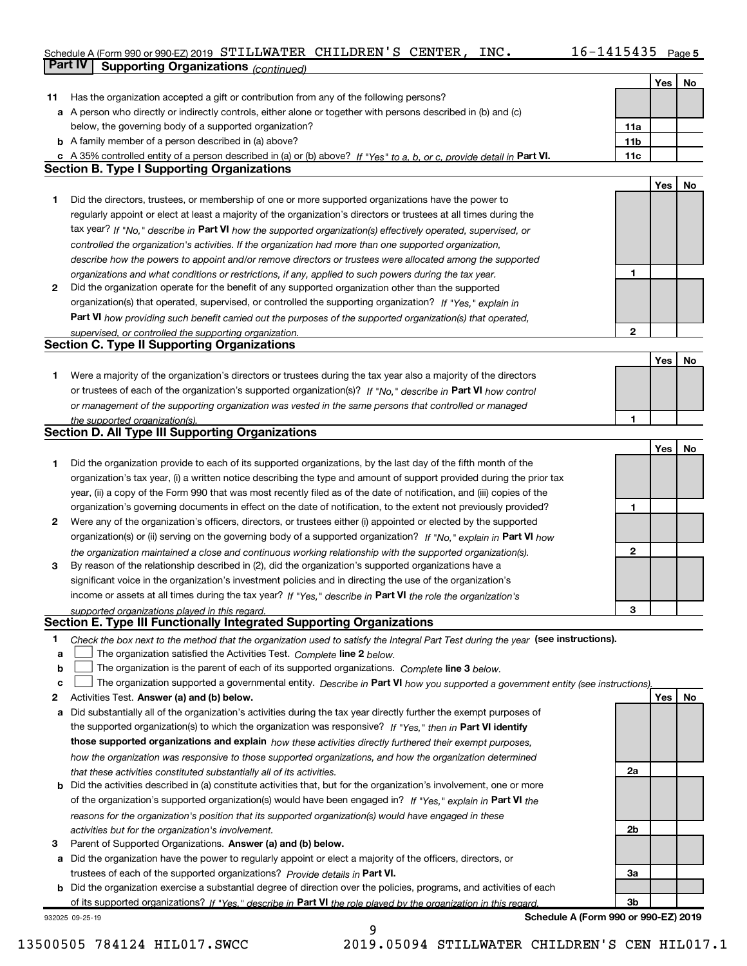### Schedule A (Form 990 or 990-EZ) 2019 STILLWATER CHILDREN'S CENTER, INC.  $16-1415435$  Page

| Yes<br>No<br>Has the organization accepted a gift or contribution from any of the following persons?<br>11<br>a A person who directly or indirectly controls, either alone or together with persons described in (b) and (c)<br>below, the governing body of a supported organization?<br>11a<br><b>b</b> A family member of a person described in (a) above?<br>11 <sub>b</sub><br>c A 35% controlled entity of a person described in (a) or (b) above? If "Yes" to a, b, or c, provide detail in Part VI.<br>11c<br><b>Section B. Type I Supporting Organizations</b><br>Yes<br>No<br>Did the directors, trustees, or membership of one or more supported organizations have the power to<br>1<br>regularly appoint or elect at least a majority of the organization's directors or trustees at all times during the<br>tax year? If "No," describe in Part VI how the supported organization(s) effectively operated, supervised, or<br>controlled the organization's activities. If the organization had more than one supported organization,<br>describe how the powers to appoint and/or remove directors or trustees were allocated among the supported<br>1<br>organizations and what conditions or restrictions, if any, applied to such powers during the tax year.<br>Did the organization operate for the benefit of any supported organization other than the supported<br>2<br>organization(s) that operated, supervised, or controlled the supporting organization? If "Yes," explain in<br>Part VI how providing such benefit carried out the purposes of the supported organization(s) that operated,<br>$\mathbf{2}$<br>supervised, or controlled the supporting organization.<br><b>Section C. Type II Supporting Organizations</b><br>Yes<br>No<br>1<br>Were a majority of the organization's directors or trustees during the tax year also a majority of the directors<br>or trustees of each of the organization's supported organization(s)? If "No," describe in Part VI how control<br>or management of the supporting organization was vested in the same persons that controlled or managed<br>1<br>the supported organization(s).<br><b>Section D. All Type III Supporting Organizations</b><br>Yes<br>No<br>1<br>Did the organization provide to each of its supported organizations, by the last day of the fifth month of the<br>organization's tax year, (i) a written notice describing the type and amount of support provided during the prior tax<br>year, (ii) a copy of the Form 990 that was most recently filed as of the date of notification, and (iii) copies of the<br>organization's governing documents in effect on the date of notification, to the extent not previously provided?<br>1<br>Were any of the organization's officers, directors, or trustees either (i) appointed or elected by the supported<br>2<br>organization(s) or (ii) serving on the governing body of a supported organization? If "No," explain in Part VI how<br>2<br>the organization maintained a close and continuous working relationship with the supported organization(s).<br>3<br>By reason of the relationship described in (2), did the organization's supported organizations have a<br>significant voice in the organization's investment policies and in directing the use of the organization's<br>income or assets at all times during the tax year? If "Yes," describe in Part VI the role the organization's<br>З<br>supported organizations played in this regard.<br>Section E. Type III Functionally Integrated Supporting Organizations<br>1<br>Check the box next to the method that the organization used to satisfy the Integral Part Test during the year (see instructions).<br>The organization satisfied the Activities Test. Complete line 2 below.<br>a<br>The organization is the parent of each of its supported organizations. Complete line 3 below.<br>b<br>The organization supported a governmental entity. Describe in Part VI how you supported a government entity (see instructions).<br>c<br>Activities Test. Answer (a) and (b) below.<br>Yes<br>No<br>2<br>Did substantially all of the organization's activities during the tax year directly further the exempt purposes of<br>а<br>the supported organization(s) to which the organization was responsive? If "Yes," then in Part VI identify<br>those supported organizations and explain how these activities directly furthered their exempt purposes,<br>how the organization was responsive to those supported organizations, and how the organization determined<br>2a<br>that these activities constituted substantially all of its activities.<br><b>b</b> Did the activities described in (a) constitute activities that, but for the organization's involvement, one or more<br>of the organization's supported organization(s) would have been engaged in? If "Yes," explain in Part VI the<br>reasons for the organization's position that its supported organization(s) would have engaged in these<br>2b<br>activities but for the organization's involvement.<br>Parent of Supported Organizations. Answer (a) and (b) below.<br>з<br>Did the organization have the power to regularly appoint or elect a majority of the officers, directors, or<br>a<br>trustees of each of the supported organizations? Provide details in Part VI.<br>За | Part IV<br><b>Supporting Organizations (continued)</b>                                                                       |  |  |
|----------------------------------------------------------------------------------------------------------------------------------------------------------------------------------------------------------------------------------------------------------------------------------------------------------------------------------------------------------------------------------------------------------------------------------------------------------------------------------------------------------------------------------------------------------------------------------------------------------------------------------------------------------------------------------------------------------------------------------------------------------------------------------------------------------------------------------------------------------------------------------------------------------------------------------------------------------------------------------------------------------------------------------------------------------------------------------------------------------------------------------------------------------------------------------------------------------------------------------------------------------------------------------------------------------------------------------------------------------------------------------------------------------------------------------------------------------------------------------------------------------------------------------------------------------------------------------------------------------------------------------------------------------------------------------------------------------------------------------------------------------------------------------------------------------------------------------------------------------------------------------------------------------------------------------------------------------------------------------------------------------------------------------------------------------------------------------------------------------------------------------------------------------------------------------------------------------------------------------------------------------------------------------------------------------------------------------------------------------------------------------------------------------------------------------------------------------------------------------------------------------------------------------------------------------------------------------------------------------------------------------------------------------------------------------------------------------------------------------------------------------------------------------------------------------------------------------------------------------------------------------------------------------------------------------------------------------------------------------------------------------------------------------------------------------------------------------------------------------------------------------------------------------------------------------------------------------------------------------------------------------------------------------------------------------------------------------------------------------------------------------------------------------------------------------------------------------------------------------------------------------------------------------------------------------------------------------------------------------------------------------------------------------------------------------------------------------------------------------------------------------------------------------------------------------------------------------------------------------------------------------------------------------------------------------------------------------------------------------------------------------------------------------------------------------------------------------------------------------------------------------------------------------------------------------------------------------------------------------------------------------------------------------------------------------------------------------------------------------------------------------------------------------------------------------------------------------------------------------------------------------------------------------------------------------------------------------------------------------------------------------------------------------------------------------------------------------------------------------------------------------------------------------------------------------------------------------------------------------------------------------------------------------------------------------------------------------------------------------------------------------------------------------------------------------------------------------------------------------------------------------------------------------------------------------------------------------------------------------------------------------------------------------------------------------------------------------------------------------------------------------------|------------------------------------------------------------------------------------------------------------------------------|--|--|
|                                                                                                                                                                                                                                                                                                                                                                                                                                                                                                                                                                                                                                                                                                                                                                                                                                                                                                                                                                                                                                                                                                                                                                                                                                                                                                                                                                                                                                                                                                                                                                                                                                                                                                                                                                                                                                                                                                                                                                                                                                                                                                                                                                                                                                                                                                                                                                                                                                                                                                                                                                                                                                                                                                                                                                                                                                                                                                                                                                                                                                                                                                                                                                                                                                                                                                                                                                                                                                                                                                                                                                                                                                                                                                                                                                                                                                                                                                                                                                                                                                                                                                                                                                                                                                                                                                                                                                                                                                                                                                                                                                                                                                                                                                                                                                                                                                                                                                                                                                                                                                                                                                                                                                                                                                                                                                                                                                                        |                                                                                                                              |  |  |
|                                                                                                                                                                                                                                                                                                                                                                                                                                                                                                                                                                                                                                                                                                                                                                                                                                                                                                                                                                                                                                                                                                                                                                                                                                                                                                                                                                                                                                                                                                                                                                                                                                                                                                                                                                                                                                                                                                                                                                                                                                                                                                                                                                                                                                                                                                                                                                                                                                                                                                                                                                                                                                                                                                                                                                                                                                                                                                                                                                                                                                                                                                                                                                                                                                                                                                                                                                                                                                                                                                                                                                                                                                                                                                                                                                                                                                                                                                                                                                                                                                                                                                                                                                                                                                                                                                                                                                                                                                                                                                                                                                                                                                                                                                                                                                                                                                                                                                                                                                                                                                                                                                                                                                                                                                                                                                                                                                                        |                                                                                                                              |  |  |
|                                                                                                                                                                                                                                                                                                                                                                                                                                                                                                                                                                                                                                                                                                                                                                                                                                                                                                                                                                                                                                                                                                                                                                                                                                                                                                                                                                                                                                                                                                                                                                                                                                                                                                                                                                                                                                                                                                                                                                                                                                                                                                                                                                                                                                                                                                                                                                                                                                                                                                                                                                                                                                                                                                                                                                                                                                                                                                                                                                                                                                                                                                                                                                                                                                                                                                                                                                                                                                                                                                                                                                                                                                                                                                                                                                                                                                                                                                                                                                                                                                                                                                                                                                                                                                                                                                                                                                                                                                                                                                                                                                                                                                                                                                                                                                                                                                                                                                                                                                                                                                                                                                                                                                                                                                                                                                                                                                                        |                                                                                                                              |  |  |
|                                                                                                                                                                                                                                                                                                                                                                                                                                                                                                                                                                                                                                                                                                                                                                                                                                                                                                                                                                                                                                                                                                                                                                                                                                                                                                                                                                                                                                                                                                                                                                                                                                                                                                                                                                                                                                                                                                                                                                                                                                                                                                                                                                                                                                                                                                                                                                                                                                                                                                                                                                                                                                                                                                                                                                                                                                                                                                                                                                                                                                                                                                                                                                                                                                                                                                                                                                                                                                                                                                                                                                                                                                                                                                                                                                                                                                                                                                                                                                                                                                                                                                                                                                                                                                                                                                                                                                                                                                                                                                                                                                                                                                                                                                                                                                                                                                                                                                                                                                                                                                                                                                                                                                                                                                                                                                                                                                                        |                                                                                                                              |  |  |
|                                                                                                                                                                                                                                                                                                                                                                                                                                                                                                                                                                                                                                                                                                                                                                                                                                                                                                                                                                                                                                                                                                                                                                                                                                                                                                                                                                                                                                                                                                                                                                                                                                                                                                                                                                                                                                                                                                                                                                                                                                                                                                                                                                                                                                                                                                                                                                                                                                                                                                                                                                                                                                                                                                                                                                                                                                                                                                                                                                                                                                                                                                                                                                                                                                                                                                                                                                                                                                                                                                                                                                                                                                                                                                                                                                                                                                                                                                                                                                                                                                                                                                                                                                                                                                                                                                                                                                                                                                                                                                                                                                                                                                                                                                                                                                                                                                                                                                                                                                                                                                                                                                                                                                                                                                                                                                                                                                                        |                                                                                                                              |  |  |
|                                                                                                                                                                                                                                                                                                                                                                                                                                                                                                                                                                                                                                                                                                                                                                                                                                                                                                                                                                                                                                                                                                                                                                                                                                                                                                                                                                                                                                                                                                                                                                                                                                                                                                                                                                                                                                                                                                                                                                                                                                                                                                                                                                                                                                                                                                                                                                                                                                                                                                                                                                                                                                                                                                                                                                                                                                                                                                                                                                                                                                                                                                                                                                                                                                                                                                                                                                                                                                                                                                                                                                                                                                                                                                                                                                                                                                                                                                                                                                                                                                                                                                                                                                                                                                                                                                                                                                                                                                                                                                                                                                                                                                                                                                                                                                                                                                                                                                                                                                                                                                                                                                                                                                                                                                                                                                                                                                                        |                                                                                                                              |  |  |
|                                                                                                                                                                                                                                                                                                                                                                                                                                                                                                                                                                                                                                                                                                                                                                                                                                                                                                                                                                                                                                                                                                                                                                                                                                                                                                                                                                                                                                                                                                                                                                                                                                                                                                                                                                                                                                                                                                                                                                                                                                                                                                                                                                                                                                                                                                                                                                                                                                                                                                                                                                                                                                                                                                                                                                                                                                                                                                                                                                                                                                                                                                                                                                                                                                                                                                                                                                                                                                                                                                                                                                                                                                                                                                                                                                                                                                                                                                                                                                                                                                                                                                                                                                                                                                                                                                                                                                                                                                                                                                                                                                                                                                                                                                                                                                                                                                                                                                                                                                                                                                                                                                                                                                                                                                                                                                                                                                                        |                                                                                                                              |  |  |
|                                                                                                                                                                                                                                                                                                                                                                                                                                                                                                                                                                                                                                                                                                                                                                                                                                                                                                                                                                                                                                                                                                                                                                                                                                                                                                                                                                                                                                                                                                                                                                                                                                                                                                                                                                                                                                                                                                                                                                                                                                                                                                                                                                                                                                                                                                                                                                                                                                                                                                                                                                                                                                                                                                                                                                                                                                                                                                                                                                                                                                                                                                                                                                                                                                                                                                                                                                                                                                                                                                                                                                                                                                                                                                                                                                                                                                                                                                                                                                                                                                                                                                                                                                                                                                                                                                                                                                                                                                                                                                                                                                                                                                                                                                                                                                                                                                                                                                                                                                                                                                                                                                                                                                                                                                                                                                                                                                                        |                                                                                                                              |  |  |
|                                                                                                                                                                                                                                                                                                                                                                                                                                                                                                                                                                                                                                                                                                                                                                                                                                                                                                                                                                                                                                                                                                                                                                                                                                                                                                                                                                                                                                                                                                                                                                                                                                                                                                                                                                                                                                                                                                                                                                                                                                                                                                                                                                                                                                                                                                                                                                                                                                                                                                                                                                                                                                                                                                                                                                                                                                                                                                                                                                                                                                                                                                                                                                                                                                                                                                                                                                                                                                                                                                                                                                                                                                                                                                                                                                                                                                                                                                                                                                                                                                                                                                                                                                                                                                                                                                                                                                                                                                                                                                                                                                                                                                                                                                                                                                                                                                                                                                                                                                                                                                                                                                                                                                                                                                                                                                                                                                                        |                                                                                                                              |  |  |
|                                                                                                                                                                                                                                                                                                                                                                                                                                                                                                                                                                                                                                                                                                                                                                                                                                                                                                                                                                                                                                                                                                                                                                                                                                                                                                                                                                                                                                                                                                                                                                                                                                                                                                                                                                                                                                                                                                                                                                                                                                                                                                                                                                                                                                                                                                                                                                                                                                                                                                                                                                                                                                                                                                                                                                                                                                                                                                                                                                                                                                                                                                                                                                                                                                                                                                                                                                                                                                                                                                                                                                                                                                                                                                                                                                                                                                                                                                                                                                                                                                                                                                                                                                                                                                                                                                                                                                                                                                                                                                                                                                                                                                                                                                                                                                                                                                                                                                                                                                                                                                                                                                                                                                                                                                                                                                                                                                                        |                                                                                                                              |  |  |
|                                                                                                                                                                                                                                                                                                                                                                                                                                                                                                                                                                                                                                                                                                                                                                                                                                                                                                                                                                                                                                                                                                                                                                                                                                                                                                                                                                                                                                                                                                                                                                                                                                                                                                                                                                                                                                                                                                                                                                                                                                                                                                                                                                                                                                                                                                                                                                                                                                                                                                                                                                                                                                                                                                                                                                                                                                                                                                                                                                                                                                                                                                                                                                                                                                                                                                                                                                                                                                                                                                                                                                                                                                                                                                                                                                                                                                                                                                                                                                                                                                                                                                                                                                                                                                                                                                                                                                                                                                                                                                                                                                                                                                                                                                                                                                                                                                                                                                                                                                                                                                                                                                                                                                                                                                                                                                                                                                                        |                                                                                                                              |  |  |
|                                                                                                                                                                                                                                                                                                                                                                                                                                                                                                                                                                                                                                                                                                                                                                                                                                                                                                                                                                                                                                                                                                                                                                                                                                                                                                                                                                                                                                                                                                                                                                                                                                                                                                                                                                                                                                                                                                                                                                                                                                                                                                                                                                                                                                                                                                                                                                                                                                                                                                                                                                                                                                                                                                                                                                                                                                                                                                                                                                                                                                                                                                                                                                                                                                                                                                                                                                                                                                                                                                                                                                                                                                                                                                                                                                                                                                                                                                                                                                                                                                                                                                                                                                                                                                                                                                                                                                                                                                                                                                                                                                                                                                                                                                                                                                                                                                                                                                                                                                                                                                                                                                                                                                                                                                                                                                                                                                                        |                                                                                                                              |  |  |
|                                                                                                                                                                                                                                                                                                                                                                                                                                                                                                                                                                                                                                                                                                                                                                                                                                                                                                                                                                                                                                                                                                                                                                                                                                                                                                                                                                                                                                                                                                                                                                                                                                                                                                                                                                                                                                                                                                                                                                                                                                                                                                                                                                                                                                                                                                                                                                                                                                                                                                                                                                                                                                                                                                                                                                                                                                                                                                                                                                                                                                                                                                                                                                                                                                                                                                                                                                                                                                                                                                                                                                                                                                                                                                                                                                                                                                                                                                                                                                                                                                                                                                                                                                                                                                                                                                                                                                                                                                                                                                                                                                                                                                                                                                                                                                                                                                                                                                                                                                                                                                                                                                                                                                                                                                                                                                                                                                                        |                                                                                                                              |  |  |
|                                                                                                                                                                                                                                                                                                                                                                                                                                                                                                                                                                                                                                                                                                                                                                                                                                                                                                                                                                                                                                                                                                                                                                                                                                                                                                                                                                                                                                                                                                                                                                                                                                                                                                                                                                                                                                                                                                                                                                                                                                                                                                                                                                                                                                                                                                                                                                                                                                                                                                                                                                                                                                                                                                                                                                                                                                                                                                                                                                                                                                                                                                                                                                                                                                                                                                                                                                                                                                                                                                                                                                                                                                                                                                                                                                                                                                                                                                                                                                                                                                                                                                                                                                                                                                                                                                                                                                                                                                                                                                                                                                                                                                                                                                                                                                                                                                                                                                                                                                                                                                                                                                                                                                                                                                                                                                                                                                                        |                                                                                                                              |  |  |
|                                                                                                                                                                                                                                                                                                                                                                                                                                                                                                                                                                                                                                                                                                                                                                                                                                                                                                                                                                                                                                                                                                                                                                                                                                                                                                                                                                                                                                                                                                                                                                                                                                                                                                                                                                                                                                                                                                                                                                                                                                                                                                                                                                                                                                                                                                                                                                                                                                                                                                                                                                                                                                                                                                                                                                                                                                                                                                                                                                                                                                                                                                                                                                                                                                                                                                                                                                                                                                                                                                                                                                                                                                                                                                                                                                                                                                                                                                                                                                                                                                                                                                                                                                                                                                                                                                                                                                                                                                                                                                                                                                                                                                                                                                                                                                                                                                                                                                                                                                                                                                                                                                                                                                                                                                                                                                                                                                                        |                                                                                                                              |  |  |
|                                                                                                                                                                                                                                                                                                                                                                                                                                                                                                                                                                                                                                                                                                                                                                                                                                                                                                                                                                                                                                                                                                                                                                                                                                                                                                                                                                                                                                                                                                                                                                                                                                                                                                                                                                                                                                                                                                                                                                                                                                                                                                                                                                                                                                                                                                                                                                                                                                                                                                                                                                                                                                                                                                                                                                                                                                                                                                                                                                                                                                                                                                                                                                                                                                                                                                                                                                                                                                                                                                                                                                                                                                                                                                                                                                                                                                                                                                                                                                                                                                                                                                                                                                                                                                                                                                                                                                                                                                                                                                                                                                                                                                                                                                                                                                                                                                                                                                                                                                                                                                                                                                                                                                                                                                                                                                                                                                                        |                                                                                                                              |  |  |
|                                                                                                                                                                                                                                                                                                                                                                                                                                                                                                                                                                                                                                                                                                                                                                                                                                                                                                                                                                                                                                                                                                                                                                                                                                                                                                                                                                                                                                                                                                                                                                                                                                                                                                                                                                                                                                                                                                                                                                                                                                                                                                                                                                                                                                                                                                                                                                                                                                                                                                                                                                                                                                                                                                                                                                                                                                                                                                                                                                                                                                                                                                                                                                                                                                                                                                                                                                                                                                                                                                                                                                                                                                                                                                                                                                                                                                                                                                                                                                                                                                                                                                                                                                                                                                                                                                                                                                                                                                                                                                                                                                                                                                                                                                                                                                                                                                                                                                                                                                                                                                                                                                                                                                                                                                                                                                                                                                                        |                                                                                                                              |  |  |
|                                                                                                                                                                                                                                                                                                                                                                                                                                                                                                                                                                                                                                                                                                                                                                                                                                                                                                                                                                                                                                                                                                                                                                                                                                                                                                                                                                                                                                                                                                                                                                                                                                                                                                                                                                                                                                                                                                                                                                                                                                                                                                                                                                                                                                                                                                                                                                                                                                                                                                                                                                                                                                                                                                                                                                                                                                                                                                                                                                                                                                                                                                                                                                                                                                                                                                                                                                                                                                                                                                                                                                                                                                                                                                                                                                                                                                                                                                                                                                                                                                                                                                                                                                                                                                                                                                                                                                                                                                                                                                                                                                                                                                                                                                                                                                                                                                                                                                                                                                                                                                                                                                                                                                                                                                                                                                                                                                                        |                                                                                                                              |  |  |
|                                                                                                                                                                                                                                                                                                                                                                                                                                                                                                                                                                                                                                                                                                                                                                                                                                                                                                                                                                                                                                                                                                                                                                                                                                                                                                                                                                                                                                                                                                                                                                                                                                                                                                                                                                                                                                                                                                                                                                                                                                                                                                                                                                                                                                                                                                                                                                                                                                                                                                                                                                                                                                                                                                                                                                                                                                                                                                                                                                                                                                                                                                                                                                                                                                                                                                                                                                                                                                                                                                                                                                                                                                                                                                                                                                                                                                                                                                                                                                                                                                                                                                                                                                                                                                                                                                                                                                                                                                                                                                                                                                                                                                                                                                                                                                                                                                                                                                                                                                                                                                                                                                                                                                                                                                                                                                                                                                                        |                                                                                                                              |  |  |
|                                                                                                                                                                                                                                                                                                                                                                                                                                                                                                                                                                                                                                                                                                                                                                                                                                                                                                                                                                                                                                                                                                                                                                                                                                                                                                                                                                                                                                                                                                                                                                                                                                                                                                                                                                                                                                                                                                                                                                                                                                                                                                                                                                                                                                                                                                                                                                                                                                                                                                                                                                                                                                                                                                                                                                                                                                                                                                                                                                                                                                                                                                                                                                                                                                                                                                                                                                                                                                                                                                                                                                                                                                                                                                                                                                                                                                                                                                                                                                                                                                                                                                                                                                                                                                                                                                                                                                                                                                                                                                                                                                                                                                                                                                                                                                                                                                                                                                                                                                                                                                                                                                                                                                                                                                                                                                                                                                                        |                                                                                                                              |  |  |
|                                                                                                                                                                                                                                                                                                                                                                                                                                                                                                                                                                                                                                                                                                                                                                                                                                                                                                                                                                                                                                                                                                                                                                                                                                                                                                                                                                                                                                                                                                                                                                                                                                                                                                                                                                                                                                                                                                                                                                                                                                                                                                                                                                                                                                                                                                                                                                                                                                                                                                                                                                                                                                                                                                                                                                                                                                                                                                                                                                                                                                                                                                                                                                                                                                                                                                                                                                                                                                                                                                                                                                                                                                                                                                                                                                                                                                                                                                                                                                                                                                                                                                                                                                                                                                                                                                                                                                                                                                                                                                                                                                                                                                                                                                                                                                                                                                                                                                                                                                                                                                                                                                                                                                                                                                                                                                                                                                                        |                                                                                                                              |  |  |
|                                                                                                                                                                                                                                                                                                                                                                                                                                                                                                                                                                                                                                                                                                                                                                                                                                                                                                                                                                                                                                                                                                                                                                                                                                                                                                                                                                                                                                                                                                                                                                                                                                                                                                                                                                                                                                                                                                                                                                                                                                                                                                                                                                                                                                                                                                                                                                                                                                                                                                                                                                                                                                                                                                                                                                                                                                                                                                                                                                                                                                                                                                                                                                                                                                                                                                                                                                                                                                                                                                                                                                                                                                                                                                                                                                                                                                                                                                                                                                                                                                                                                                                                                                                                                                                                                                                                                                                                                                                                                                                                                                                                                                                                                                                                                                                                                                                                                                                                                                                                                                                                                                                                                                                                                                                                                                                                                                                        |                                                                                                                              |  |  |
|                                                                                                                                                                                                                                                                                                                                                                                                                                                                                                                                                                                                                                                                                                                                                                                                                                                                                                                                                                                                                                                                                                                                                                                                                                                                                                                                                                                                                                                                                                                                                                                                                                                                                                                                                                                                                                                                                                                                                                                                                                                                                                                                                                                                                                                                                                                                                                                                                                                                                                                                                                                                                                                                                                                                                                                                                                                                                                                                                                                                                                                                                                                                                                                                                                                                                                                                                                                                                                                                                                                                                                                                                                                                                                                                                                                                                                                                                                                                                                                                                                                                                                                                                                                                                                                                                                                                                                                                                                                                                                                                                                                                                                                                                                                                                                                                                                                                                                                                                                                                                                                                                                                                                                                                                                                                                                                                                                                        |                                                                                                                              |  |  |
|                                                                                                                                                                                                                                                                                                                                                                                                                                                                                                                                                                                                                                                                                                                                                                                                                                                                                                                                                                                                                                                                                                                                                                                                                                                                                                                                                                                                                                                                                                                                                                                                                                                                                                                                                                                                                                                                                                                                                                                                                                                                                                                                                                                                                                                                                                                                                                                                                                                                                                                                                                                                                                                                                                                                                                                                                                                                                                                                                                                                                                                                                                                                                                                                                                                                                                                                                                                                                                                                                                                                                                                                                                                                                                                                                                                                                                                                                                                                                                                                                                                                                                                                                                                                                                                                                                                                                                                                                                                                                                                                                                                                                                                                                                                                                                                                                                                                                                                                                                                                                                                                                                                                                                                                                                                                                                                                                                                        |                                                                                                                              |  |  |
|                                                                                                                                                                                                                                                                                                                                                                                                                                                                                                                                                                                                                                                                                                                                                                                                                                                                                                                                                                                                                                                                                                                                                                                                                                                                                                                                                                                                                                                                                                                                                                                                                                                                                                                                                                                                                                                                                                                                                                                                                                                                                                                                                                                                                                                                                                                                                                                                                                                                                                                                                                                                                                                                                                                                                                                                                                                                                                                                                                                                                                                                                                                                                                                                                                                                                                                                                                                                                                                                                                                                                                                                                                                                                                                                                                                                                                                                                                                                                                                                                                                                                                                                                                                                                                                                                                                                                                                                                                                                                                                                                                                                                                                                                                                                                                                                                                                                                                                                                                                                                                                                                                                                                                                                                                                                                                                                                                                        |                                                                                                                              |  |  |
|                                                                                                                                                                                                                                                                                                                                                                                                                                                                                                                                                                                                                                                                                                                                                                                                                                                                                                                                                                                                                                                                                                                                                                                                                                                                                                                                                                                                                                                                                                                                                                                                                                                                                                                                                                                                                                                                                                                                                                                                                                                                                                                                                                                                                                                                                                                                                                                                                                                                                                                                                                                                                                                                                                                                                                                                                                                                                                                                                                                                                                                                                                                                                                                                                                                                                                                                                                                                                                                                                                                                                                                                                                                                                                                                                                                                                                                                                                                                                                                                                                                                                                                                                                                                                                                                                                                                                                                                                                                                                                                                                                                                                                                                                                                                                                                                                                                                                                                                                                                                                                                                                                                                                                                                                                                                                                                                                                                        |                                                                                                                              |  |  |
|                                                                                                                                                                                                                                                                                                                                                                                                                                                                                                                                                                                                                                                                                                                                                                                                                                                                                                                                                                                                                                                                                                                                                                                                                                                                                                                                                                                                                                                                                                                                                                                                                                                                                                                                                                                                                                                                                                                                                                                                                                                                                                                                                                                                                                                                                                                                                                                                                                                                                                                                                                                                                                                                                                                                                                                                                                                                                                                                                                                                                                                                                                                                                                                                                                                                                                                                                                                                                                                                                                                                                                                                                                                                                                                                                                                                                                                                                                                                                                                                                                                                                                                                                                                                                                                                                                                                                                                                                                                                                                                                                                                                                                                                                                                                                                                                                                                                                                                                                                                                                                                                                                                                                                                                                                                                                                                                                                                        |                                                                                                                              |  |  |
|                                                                                                                                                                                                                                                                                                                                                                                                                                                                                                                                                                                                                                                                                                                                                                                                                                                                                                                                                                                                                                                                                                                                                                                                                                                                                                                                                                                                                                                                                                                                                                                                                                                                                                                                                                                                                                                                                                                                                                                                                                                                                                                                                                                                                                                                                                                                                                                                                                                                                                                                                                                                                                                                                                                                                                                                                                                                                                                                                                                                                                                                                                                                                                                                                                                                                                                                                                                                                                                                                                                                                                                                                                                                                                                                                                                                                                                                                                                                                                                                                                                                                                                                                                                                                                                                                                                                                                                                                                                                                                                                                                                                                                                                                                                                                                                                                                                                                                                                                                                                                                                                                                                                                                                                                                                                                                                                                                                        |                                                                                                                              |  |  |
|                                                                                                                                                                                                                                                                                                                                                                                                                                                                                                                                                                                                                                                                                                                                                                                                                                                                                                                                                                                                                                                                                                                                                                                                                                                                                                                                                                                                                                                                                                                                                                                                                                                                                                                                                                                                                                                                                                                                                                                                                                                                                                                                                                                                                                                                                                                                                                                                                                                                                                                                                                                                                                                                                                                                                                                                                                                                                                                                                                                                                                                                                                                                                                                                                                                                                                                                                                                                                                                                                                                                                                                                                                                                                                                                                                                                                                                                                                                                                                                                                                                                                                                                                                                                                                                                                                                                                                                                                                                                                                                                                                                                                                                                                                                                                                                                                                                                                                                                                                                                                                                                                                                                                                                                                                                                                                                                                                                        |                                                                                                                              |  |  |
|                                                                                                                                                                                                                                                                                                                                                                                                                                                                                                                                                                                                                                                                                                                                                                                                                                                                                                                                                                                                                                                                                                                                                                                                                                                                                                                                                                                                                                                                                                                                                                                                                                                                                                                                                                                                                                                                                                                                                                                                                                                                                                                                                                                                                                                                                                                                                                                                                                                                                                                                                                                                                                                                                                                                                                                                                                                                                                                                                                                                                                                                                                                                                                                                                                                                                                                                                                                                                                                                                                                                                                                                                                                                                                                                                                                                                                                                                                                                                                                                                                                                                                                                                                                                                                                                                                                                                                                                                                                                                                                                                                                                                                                                                                                                                                                                                                                                                                                                                                                                                                                                                                                                                                                                                                                                                                                                                                                        |                                                                                                                              |  |  |
|                                                                                                                                                                                                                                                                                                                                                                                                                                                                                                                                                                                                                                                                                                                                                                                                                                                                                                                                                                                                                                                                                                                                                                                                                                                                                                                                                                                                                                                                                                                                                                                                                                                                                                                                                                                                                                                                                                                                                                                                                                                                                                                                                                                                                                                                                                                                                                                                                                                                                                                                                                                                                                                                                                                                                                                                                                                                                                                                                                                                                                                                                                                                                                                                                                                                                                                                                                                                                                                                                                                                                                                                                                                                                                                                                                                                                                                                                                                                                                                                                                                                                                                                                                                                                                                                                                                                                                                                                                                                                                                                                                                                                                                                                                                                                                                                                                                                                                                                                                                                                                                                                                                                                                                                                                                                                                                                                                                        |                                                                                                                              |  |  |
|                                                                                                                                                                                                                                                                                                                                                                                                                                                                                                                                                                                                                                                                                                                                                                                                                                                                                                                                                                                                                                                                                                                                                                                                                                                                                                                                                                                                                                                                                                                                                                                                                                                                                                                                                                                                                                                                                                                                                                                                                                                                                                                                                                                                                                                                                                                                                                                                                                                                                                                                                                                                                                                                                                                                                                                                                                                                                                                                                                                                                                                                                                                                                                                                                                                                                                                                                                                                                                                                                                                                                                                                                                                                                                                                                                                                                                                                                                                                                                                                                                                                                                                                                                                                                                                                                                                                                                                                                                                                                                                                                                                                                                                                                                                                                                                                                                                                                                                                                                                                                                                                                                                                                                                                                                                                                                                                                                                        |                                                                                                                              |  |  |
|                                                                                                                                                                                                                                                                                                                                                                                                                                                                                                                                                                                                                                                                                                                                                                                                                                                                                                                                                                                                                                                                                                                                                                                                                                                                                                                                                                                                                                                                                                                                                                                                                                                                                                                                                                                                                                                                                                                                                                                                                                                                                                                                                                                                                                                                                                                                                                                                                                                                                                                                                                                                                                                                                                                                                                                                                                                                                                                                                                                                                                                                                                                                                                                                                                                                                                                                                                                                                                                                                                                                                                                                                                                                                                                                                                                                                                                                                                                                                                                                                                                                                                                                                                                                                                                                                                                                                                                                                                                                                                                                                                                                                                                                                                                                                                                                                                                                                                                                                                                                                                                                                                                                                                                                                                                                                                                                                                                        |                                                                                                                              |  |  |
|                                                                                                                                                                                                                                                                                                                                                                                                                                                                                                                                                                                                                                                                                                                                                                                                                                                                                                                                                                                                                                                                                                                                                                                                                                                                                                                                                                                                                                                                                                                                                                                                                                                                                                                                                                                                                                                                                                                                                                                                                                                                                                                                                                                                                                                                                                                                                                                                                                                                                                                                                                                                                                                                                                                                                                                                                                                                                                                                                                                                                                                                                                                                                                                                                                                                                                                                                                                                                                                                                                                                                                                                                                                                                                                                                                                                                                                                                                                                                                                                                                                                                                                                                                                                                                                                                                                                                                                                                                                                                                                                                                                                                                                                                                                                                                                                                                                                                                                                                                                                                                                                                                                                                                                                                                                                                                                                                                                        |                                                                                                                              |  |  |
|                                                                                                                                                                                                                                                                                                                                                                                                                                                                                                                                                                                                                                                                                                                                                                                                                                                                                                                                                                                                                                                                                                                                                                                                                                                                                                                                                                                                                                                                                                                                                                                                                                                                                                                                                                                                                                                                                                                                                                                                                                                                                                                                                                                                                                                                                                                                                                                                                                                                                                                                                                                                                                                                                                                                                                                                                                                                                                                                                                                                                                                                                                                                                                                                                                                                                                                                                                                                                                                                                                                                                                                                                                                                                                                                                                                                                                                                                                                                                                                                                                                                                                                                                                                                                                                                                                                                                                                                                                                                                                                                                                                                                                                                                                                                                                                                                                                                                                                                                                                                                                                                                                                                                                                                                                                                                                                                                                                        |                                                                                                                              |  |  |
|                                                                                                                                                                                                                                                                                                                                                                                                                                                                                                                                                                                                                                                                                                                                                                                                                                                                                                                                                                                                                                                                                                                                                                                                                                                                                                                                                                                                                                                                                                                                                                                                                                                                                                                                                                                                                                                                                                                                                                                                                                                                                                                                                                                                                                                                                                                                                                                                                                                                                                                                                                                                                                                                                                                                                                                                                                                                                                                                                                                                                                                                                                                                                                                                                                                                                                                                                                                                                                                                                                                                                                                                                                                                                                                                                                                                                                                                                                                                                                                                                                                                                                                                                                                                                                                                                                                                                                                                                                                                                                                                                                                                                                                                                                                                                                                                                                                                                                                                                                                                                                                                                                                                                                                                                                                                                                                                                                                        |                                                                                                                              |  |  |
|                                                                                                                                                                                                                                                                                                                                                                                                                                                                                                                                                                                                                                                                                                                                                                                                                                                                                                                                                                                                                                                                                                                                                                                                                                                                                                                                                                                                                                                                                                                                                                                                                                                                                                                                                                                                                                                                                                                                                                                                                                                                                                                                                                                                                                                                                                                                                                                                                                                                                                                                                                                                                                                                                                                                                                                                                                                                                                                                                                                                                                                                                                                                                                                                                                                                                                                                                                                                                                                                                                                                                                                                                                                                                                                                                                                                                                                                                                                                                                                                                                                                                                                                                                                                                                                                                                                                                                                                                                                                                                                                                                                                                                                                                                                                                                                                                                                                                                                                                                                                                                                                                                                                                                                                                                                                                                                                                                                        |                                                                                                                              |  |  |
|                                                                                                                                                                                                                                                                                                                                                                                                                                                                                                                                                                                                                                                                                                                                                                                                                                                                                                                                                                                                                                                                                                                                                                                                                                                                                                                                                                                                                                                                                                                                                                                                                                                                                                                                                                                                                                                                                                                                                                                                                                                                                                                                                                                                                                                                                                                                                                                                                                                                                                                                                                                                                                                                                                                                                                                                                                                                                                                                                                                                                                                                                                                                                                                                                                                                                                                                                                                                                                                                                                                                                                                                                                                                                                                                                                                                                                                                                                                                                                                                                                                                                                                                                                                                                                                                                                                                                                                                                                                                                                                                                                                                                                                                                                                                                                                                                                                                                                                                                                                                                                                                                                                                                                                                                                                                                                                                                                                        |                                                                                                                              |  |  |
|                                                                                                                                                                                                                                                                                                                                                                                                                                                                                                                                                                                                                                                                                                                                                                                                                                                                                                                                                                                                                                                                                                                                                                                                                                                                                                                                                                                                                                                                                                                                                                                                                                                                                                                                                                                                                                                                                                                                                                                                                                                                                                                                                                                                                                                                                                                                                                                                                                                                                                                                                                                                                                                                                                                                                                                                                                                                                                                                                                                                                                                                                                                                                                                                                                                                                                                                                                                                                                                                                                                                                                                                                                                                                                                                                                                                                                                                                                                                                                                                                                                                                                                                                                                                                                                                                                                                                                                                                                                                                                                                                                                                                                                                                                                                                                                                                                                                                                                                                                                                                                                                                                                                                                                                                                                                                                                                                                                        |                                                                                                                              |  |  |
|                                                                                                                                                                                                                                                                                                                                                                                                                                                                                                                                                                                                                                                                                                                                                                                                                                                                                                                                                                                                                                                                                                                                                                                                                                                                                                                                                                                                                                                                                                                                                                                                                                                                                                                                                                                                                                                                                                                                                                                                                                                                                                                                                                                                                                                                                                                                                                                                                                                                                                                                                                                                                                                                                                                                                                                                                                                                                                                                                                                                                                                                                                                                                                                                                                                                                                                                                                                                                                                                                                                                                                                                                                                                                                                                                                                                                                                                                                                                                                                                                                                                                                                                                                                                                                                                                                                                                                                                                                                                                                                                                                                                                                                                                                                                                                                                                                                                                                                                                                                                                                                                                                                                                                                                                                                                                                                                                                                        |                                                                                                                              |  |  |
|                                                                                                                                                                                                                                                                                                                                                                                                                                                                                                                                                                                                                                                                                                                                                                                                                                                                                                                                                                                                                                                                                                                                                                                                                                                                                                                                                                                                                                                                                                                                                                                                                                                                                                                                                                                                                                                                                                                                                                                                                                                                                                                                                                                                                                                                                                                                                                                                                                                                                                                                                                                                                                                                                                                                                                                                                                                                                                                                                                                                                                                                                                                                                                                                                                                                                                                                                                                                                                                                                                                                                                                                                                                                                                                                                                                                                                                                                                                                                                                                                                                                                                                                                                                                                                                                                                                                                                                                                                                                                                                                                                                                                                                                                                                                                                                                                                                                                                                                                                                                                                                                                                                                                                                                                                                                                                                                                                                        |                                                                                                                              |  |  |
|                                                                                                                                                                                                                                                                                                                                                                                                                                                                                                                                                                                                                                                                                                                                                                                                                                                                                                                                                                                                                                                                                                                                                                                                                                                                                                                                                                                                                                                                                                                                                                                                                                                                                                                                                                                                                                                                                                                                                                                                                                                                                                                                                                                                                                                                                                                                                                                                                                                                                                                                                                                                                                                                                                                                                                                                                                                                                                                                                                                                                                                                                                                                                                                                                                                                                                                                                                                                                                                                                                                                                                                                                                                                                                                                                                                                                                                                                                                                                                                                                                                                                                                                                                                                                                                                                                                                                                                                                                                                                                                                                                                                                                                                                                                                                                                                                                                                                                                                                                                                                                                                                                                                                                                                                                                                                                                                                                                        |                                                                                                                              |  |  |
|                                                                                                                                                                                                                                                                                                                                                                                                                                                                                                                                                                                                                                                                                                                                                                                                                                                                                                                                                                                                                                                                                                                                                                                                                                                                                                                                                                                                                                                                                                                                                                                                                                                                                                                                                                                                                                                                                                                                                                                                                                                                                                                                                                                                                                                                                                                                                                                                                                                                                                                                                                                                                                                                                                                                                                                                                                                                                                                                                                                                                                                                                                                                                                                                                                                                                                                                                                                                                                                                                                                                                                                                                                                                                                                                                                                                                                                                                                                                                                                                                                                                                                                                                                                                                                                                                                                                                                                                                                                                                                                                                                                                                                                                                                                                                                                                                                                                                                                                                                                                                                                                                                                                                                                                                                                                                                                                                                                        |                                                                                                                              |  |  |
|                                                                                                                                                                                                                                                                                                                                                                                                                                                                                                                                                                                                                                                                                                                                                                                                                                                                                                                                                                                                                                                                                                                                                                                                                                                                                                                                                                                                                                                                                                                                                                                                                                                                                                                                                                                                                                                                                                                                                                                                                                                                                                                                                                                                                                                                                                                                                                                                                                                                                                                                                                                                                                                                                                                                                                                                                                                                                                                                                                                                                                                                                                                                                                                                                                                                                                                                                                                                                                                                                                                                                                                                                                                                                                                                                                                                                                                                                                                                                                                                                                                                                                                                                                                                                                                                                                                                                                                                                                                                                                                                                                                                                                                                                                                                                                                                                                                                                                                                                                                                                                                                                                                                                                                                                                                                                                                                                                                        |                                                                                                                              |  |  |
|                                                                                                                                                                                                                                                                                                                                                                                                                                                                                                                                                                                                                                                                                                                                                                                                                                                                                                                                                                                                                                                                                                                                                                                                                                                                                                                                                                                                                                                                                                                                                                                                                                                                                                                                                                                                                                                                                                                                                                                                                                                                                                                                                                                                                                                                                                                                                                                                                                                                                                                                                                                                                                                                                                                                                                                                                                                                                                                                                                                                                                                                                                                                                                                                                                                                                                                                                                                                                                                                                                                                                                                                                                                                                                                                                                                                                                                                                                                                                                                                                                                                                                                                                                                                                                                                                                                                                                                                                                                                                                                                                                                                                                                                                                                                                                                                                                                                                                                                                                                                                                                                                                                                                                                                                                                                                                                                                                                        |                                                                                                                              |  |  |
|                                                                                                                                                                                                                                                                                                                                                                                                                                                                                                                                                                                                                                                                                                                                                                                                                                                                                                                                                                                                                                                                                                                                                                                                                                                                                                                                                                                                                                                                                                                                                                                                                                                                                                                                                                                                                                                                                                                                                                                                                                                                                                                                                                                                                                                                                                                                                                                                                                                                                                                                                                                                                                                                                                                                                                                                                                                                                                                                                                                                                                                                                                                                                                                                                                                                                                                                                                                                                                                                                                                                                                                                                                                                                                                                                                                                                                                                                                                                                                                                                                                                                                                                                                                                                                                                                                                                                                                                                                                                                                                                                                                                                                                                                                                                                                                                                                                                                                                                                                                                                                                                                                                                                                                                                                                                                                                                                                                        |                                                                                                                              |  |  |
|                                                                                                                                                                                                                                                                                                                                                                                                                                                                                                                                                                                                                                                                                                                                                                                                                                                                                                                                                                                                                                                                                                                                                                                                                                                                                                                                                                                                                                                                                                                                                                                                                                                                                                                                                                                                                                                                                                                                                                                                                                                                                                                                                                                                                                                                                                                                                                                                                                                                                                                                                                                                                                                                                                                                                                                                                                                                                                                                                                                                                                                                                                                                                                                                                                                                                                                                                                                                                                                                                                                                                                                                                                                                                                                                                                                                                                                                                                                                                                                                                                                                                                                                                                                                                                                                                                                                                                                                                                                                                                                                                                                                                                                                                                                                                                                                                                                                                                                                                                                                                                                                                                                                                                                                                                                                                                                                                                                        |                                                                                                                              |  |  |
|                                                                                                                                                                                                                                                                                                                                                                                                                                                                                                                                                                                                                                                                                                                                                                                                                                                                                                                                                                                                                                                                                                                                                                                                                                                                                                                                                                                                                                                                                                                                                                                                                                                                                                                                                                                                                                                                                                                                                                                                                                                                                                                                                                                                                                                                                                                                                                                                                                                                                                                                                                                                                                                                                                                                                                                                                                                                                                                                                                                                                                                                                                                                                                                                                                                                                                                                                                                                                                                                                                                                                                                                                                                                                                                                                                                                                                                                                                                                                                                                                                                                                                                                                                                                                                                                                                                                                                                                                                                                                                                                                                                                                                                                                                                                                                                                                                                                                                                                                                                                                                                                                                                                                                                                                                                                                                                                                                                        |                                                                                                                              |  |  |
|                                                                                                                                                                                                                                                                                                                                                                                                                                                                                                                                                                                                                                                                                                                                                                                                                                                                                                                                                                                                                                                                                                                                                                                                                                                                                                                                                                                                                                                                                                                                                                                                                                                                                                                                                                                                                                                                                                                                                                                                                                                                                                                                                                                                                                                                                                                                                                                                                                                                                                                                                                                                                                                                                                                                                                                                                                                                                                                                                                                                                                                                                                                                                                                                                                                                                                                                                                                                                                                                                                                                                                                                                                                                                                                                                                                                                                                                                                                                                                                                                                                                                                                                                                                                                                                                                                                                                                                                                                                                                                                                                                                                                                                                                                                                                                                                                                                                                                                                                                                                                                                                                                                                                                                                                                                                                                                                                                                        |                                                                                                                              |  |  |
|                                                                                                                                                                                                                                                                                                                                                                                                                                                                                                                                                                                                                                                                                                                                                                                                                                                                                                                                                                                                                                                                                                                                                                                                                                                                                                                                                                                                                                                                                                                                                                                                                                                                                                                                                                                                                                                                                                                                                                                                                                                                                                                                                                                                                                                                                                                                                                                                                                                                                                                                                                                                                                                                                                                                                                                                                                                                                                                                                                                                                                                                                                                                                                                                                                                                                                                                                                                                                                                                                                                                                                                                                                                                                                                                                                                                                                                                                                                                                                                                                                                                                                                                                                                                                                                                                                                                                                                                                                                                                                                                                                                                                                                                                                                                                                                                                                                                                                                                                                                                                                                                                                                                                                                                                                                                                                                                                                                        |                                                                                                                              |  |  |
|                                                                                                                                                                                                                                                                                                                                                                                                                                                                                                                                                                                                                                                                                                                                                                                                                                                                                                                                                                                                                                                                                                                                                                                                                                                                                                                                                                                                                                                                                                                                                                                                                                                                                                                                                                                                                                                                                                                                                                                                                                                                                                                                                                                                                                                                                                                                                                                                                                                                                                                                                                                                                                                                                                                                                                                                                                                                                                                                                                                                                                                                                                                                                                                                                                                                                                                                                                                                                                                                                                                                                                                                                                                                                                                                                                                                                                                                                                                                                                                                                                                                                                                                                                                                                                                                                                                                                                                                                                                                                                                                                                                                                                                                                                                                                                                                                                                                                                                                                                                                                                                                                                                                                                                                                                                                                                                                                                                        |                                                                                                                              |  |  |
|                                                                                                                                                                                                                                                                                                                                                                                                                                                                                                                                                                                                                                                                                                                                                                                                                                                                                                                                                                                                                                                                                                                                                                                                                                                                                                                                                                                                                                                                                                                                                                                                                                                                                                                                                                                                                                                                                                                                                                                                                                                                                                                                                                                                                                                                                                                                                                                                                                                                                                                                                                                                                                                                                                                                                                                                                                                                                                                                                                                                                                                                                                                                                                                                                                                                                                                                                                                                                                                                                                                                                                                                                                                                                                                                                                                                                                                                                                                                                                                                                                                                                                                                                                                                                                                                                                                                                                                                                                                                                                                                                                                                                                                                                                                                                                                                                                                                                                                                                                                                                                                                                                                                                                                                                                                                                                                                                                                        |                                                                                                                              |  |  |
|                                                                                                                                                                                                                                                                                                                                                                                                                                                                                                                                                                                                                                                                                                                                                                                                                                                                                                                                                                                                                                                                                                                                                                                                                                                                                                                                                                                                                                                                                                                                                                                                                                                                                                                                                                                                                                                                                                                                                                                                                                                                                                                                                                                                                                                                                                                                                                                                                                                                                                                                                                                                                                                                                                                                                                                                                                                                                                                                                                                                                                                                                                                                                                                                                                                                                                                                                                                                                                                                                                                                                                                                                                                                                                                                                                                                                                                                                                                                                                                                                                                                                                                                                                                                                                                                                                                                                                                                                                                                                                                                                                                                                                                                                                                                                                                                                                                                                                                                                                                                                                                                                                                                                                                                                                                                                                                                                                                        |                                                                                                                              |  |  |
|                                                                                                                                                                                                                                                                                                                                                                                                                                                                                                                                                                                                                                                                                                                                                                                                                                                                                                                                                                                                                                                                                                                                                                                                                                                                                                                                                                                                                                                                                                                                                                                                                                                                                                                                                                                                                                                                                                                                                                                                                                                                                                                                                                                                                                                                                                                                                                                                                                                                                                                                                                                                                                                                                                                                                                                                                                                                                                                                                                                                                                                                                                                                                                                                                                                                                                                                                                                                                                                                                                                                                                                                                                                                                                                                                                                                                                                                                                                                                                                                                                                                                                                                                                                                                                                                                                                                                                                                                                                                                                                                                                                                                                                                                                                                                                                                                                                                                                                                                                                                                                                                                                                                                                                                                                                                                                                                                                                        |                                                                                                                              |  |  |
|                                                                                                                                                                                                                                                                                                                                                                                                                                                                                                                                                                                                                                                                                                                                                                                                                                                                                                                                                                                                                                                                                                                                                                                                                                                                                                                                                                                                                                                                                                                                                                                                                                                                                                                                                                                                                                                                                                                                                                                                                                                                                                                                                                                                                                                                                                                                                                                                                                                                                                                                                                                                                                                                                                                                                                                                                                                                                                                                                                                                                                                                                                                                                                                                                                                                                                                                                                                                                                                                                                                                                                                                                                                                                                                                                                                                                                                                                                                                                                                                                                                                                                                                                                                                                                                                                                                                                                                                                                                                                                                                                                                                                                                                                                                                                                                                                                                                                                                                                                                                                                                                                                                                                                                                                                                                                                                                                                                        | <b>b</b> Did the organization exercise a substantial degree of direction over the policies, programs, and activities of each |  |  |
| 3b<br>of its supported organizations? If "Yes," describe in Part VI the role played by the organization in this regard.                                                                                                                                                                                                                                                                                                                                                                                                                                                                                                                                                                                                                                                                                                                                                                                                                                                                                                                                                                                                                                                                                                                                                                                                                                                                                                                                                                                                                                                                                                                                                                                                                                                                                                                                                                                                                                                                                                                                                                                                                                                                                                                                                                                                                                                                                                                                                                                                                                                                                                                                                                                                                                                                                                                                                                                                                                                                                                                                                                                                                                                                                                                                                                                                                                                                                                                                                                                                                                                                                                                                                                                                                                                                                                                                                                                                                                                                                                                                                                                                                                                                                                                                                                                                                                                                                                                                                                                                                                                                                                                                                                                                                                                                                                                                                                                                                                                                                                                                                                                                                                                                                                                                                                                                                                                                |                                                                                                                              |  |  |

932025 09-25-19

Schedule A (Form 990 or 990-EZ) 2019

9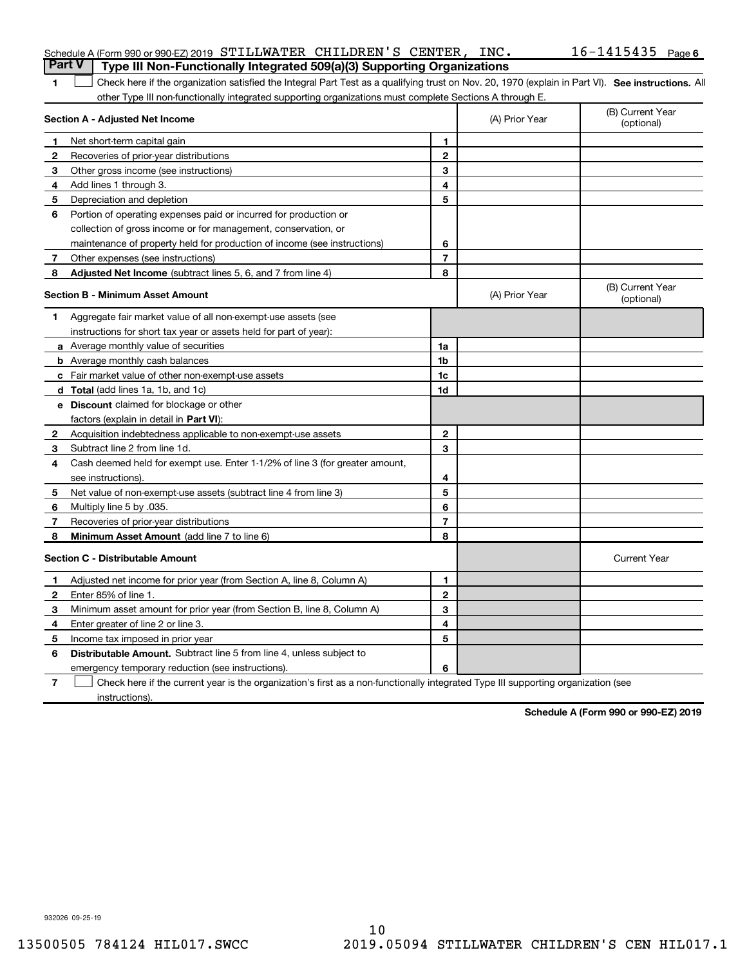|                | Schedule A (Form 990 or 990-EZ) 2019 STILLWATER CHILDREN'S CENTER, INC.                                                                            |                         |                | $16 - 1415435$ Page 6          |
|----------------|----------------------------------------------------------------------------------------------------------------------------------------------------|-------------------------|----------------|--------------------------------|
| <b>Part V</b>  | Type III Non-Functionally Integrated 509(a)(3) Supporting Organizations                                                                            |                         |                |                                |
| 1              | Check here if the organization satisfied the Integral Part Test as a qualifying trust on Nov. 20, 1970 (explain in Part VI). See instructions. All |                         |                |                                |
|                | other Type III non-functionally integrated supporting organizations must complete Sections A through E.                                            |                         |                |                                |
|                | Section A - Adjusted Net Income                                                                                                                    |                         | (A) Prior Year | (B) Current Year<br>(optional) |
| -1             | Net short-term capital gain                                                                                                                        | 1                       |                |                                |
| $\mathbf{2}$   | Recoveries of prior-year distributions                                                                                                             | $\mathbf{2}$            |                |                                |
| 3              | Other gross income (see instructions)                                                                                                              | 3                       |                |                                |
| 4              | Add lines 1 through 3.                                                                                                                             | 4                       |                |                                |
| 5              | Depreciation and depletion                                                                                                                         | 5                       |                |                                |
| 6              | Portion of operating expenses paid or incurred for production or                                                                                   |                         |                |                                |
|                | collection of gross income or for management, conservation, or                                                                                     |                         |                |                                |
|                | maintenance of property held for production of income (see instructions)                                                                           | 6                       |                |                                |
| $\mathbf{7}$   | Other expenses (see instructions)                                                                                                                  | $\overline{\mathbf{r}}$ |                |                                |
| 8              | Adjusted Net Income (subtract lines 5, 6, and 7 from line 4)                                                                                       | 8                       |                |                                |
|                | <b>Section B - Minimum Asset Amount</b>                                                                                                            |                         | (A) Prior Year | (B) Current Year<br>(optional) |
| 1              | Aggregate fair market value of all non-exempt-use assets (see                                                                                      |                         |                |                                |
|                | instructions for short tax year or assets held for part of year):                                                                                  |                         |                |                                |
|                | a Average monthly value of securities                                                                                                              | 1a                      |                |                                |
|                | <b>b</b> Average monthly cash balances                                                                                                             | 1b                      |                |                                |
|                | c Fair market value of other non-exempt-use assets                                                                                                 | 1c                      |                |                                |
|                | d Total (add lines 1a, 1b, and 1c)                                                                                                                 | 1d                      |                |                                |
|                | <b>e</b> Discount claimed for blockage or other                                                                                                    |                         |                |                                |
|                | factors (explain in detail in Part VI):                                                                                                            |                         |                |                                |
| $\mathbf{2}$   | Acquisition indebtedness applicable to non-exempt-use assets                                                                                       | $\mathbf{2}$            |                |                                |
| 3              | Subtract line 2 from line 1d.                                                                                                                      | 3                       |                |                                |
| 4              | Cash deemed held for exempt use. Enter 1-1/2% of line 3 (for greater amount,                                                                       |                         |                |                                |
|                | see instructions).                                                                                                                                 | 4                       |                |                                |
| 5              | Net value of non-exempt-use assets (subtract line 4 from line 3)                                                                                   | 5                       |                |                                |
| 6              | Multiply line 5 by .035.                                                                                                                           | 6                       |                |                                |
| 7              | Recoveries of prior-year distributions                                                                                                             | $\overline{7}$          |                |                                |
| 8              | Minimum Asset Amount (add line 7 to line 6)                                                                                                        | 8                       |                |                                |
|                | <b>Section C - Distributable Amount</b>                                                                                                            |                         |                | <b>Current Year</b>            |
| п.             | Adjusted net income for prior year (from Section A, line 8, Column A)                                                                              | 1                       |                |                                |
| 2              | Enter 85% of line 1.                                                                                                                               | 2                       |                |                                |
| 3              | Minimum asset amount for prior year (from Section B, line 8, Column A)                                                                             | 3                       |                |                                |
| 4              | Enter greater of line 2 or line 3.                                                                                                                 | 4                       |                |                                |
| 5              | Income tax imposed in prior year                                                                                                                   | 5                       |                |                                |
| 6              | Distributable Amount. Subtract line 5 from line 4, unless subject to                                                                               |                         |                |                                |
|                | emergency temporary reduction (see instructions).                                                                                                  | 6                       |                |                                |
| $\overline{7}$ | Check here if the current year is the organization's first as a non-functionally integrated Type III supporting organization (see                  |                         |                |                                |

instructions).

Schedule A (Form 990 or 990-EZ) 2019

932026 09-25-19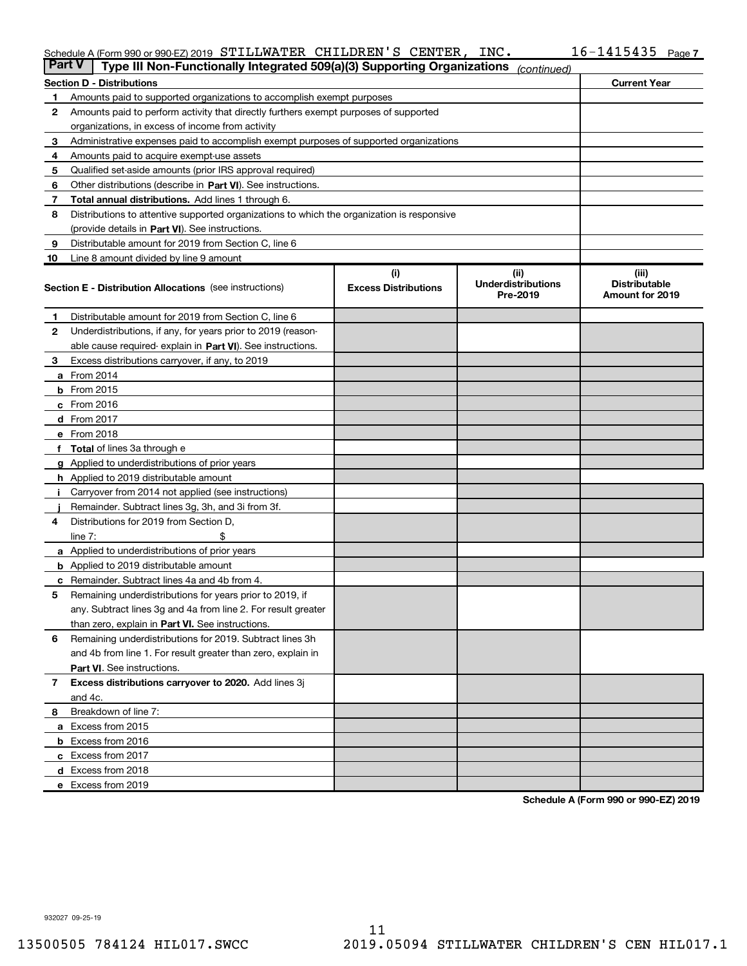## Schedule A (Form 990 or 990-EZ) 2019 STILLWATER CHILDREN'S CENTER, INC.  $16-1415435$  Page

| <b>Part V</b> | Type III Non-Functionally Integrated 509(a)(3) Supporting Organizations                    |                             | (continued)                           |                                         |
|---------------|--------------------------------------------------------------------------------------------|-----------------------------|---------------------------------------|-----------------------------------------|
|               | <b>Section D - Distributions</b>                                                           |                             |                                       | <b>Current Year</b>                     |
| 1             | Amounts paid to supported organizations to accomplish exempt purposes                      |                             |                                       |                                         |
| 2             | Amounts paid to perform activity that directly furthers exempt purposes of supported       |                             |                                       |                                         |
|               | organizations, in excess of income from activity                                           |                             |                                       |                                         |
| 3             | Administrative expenses paid to accomplish exempt purposes of supported organizations      |                             |                                       |                                         |
| 4             | Amounts paid to acquire exempt-use assets                                                  |                             |                                       |                                         |
| 5             | Qualified set-aside amounts (prior IRS approval required)                                  |                             |                                       |                                         |
| 6             | Other distributions (describe in Part VI). See instructions.                               |                             |                                       |                                         |
| 7             | Total annual distributions. Add lines 1 through 6.                                         |                             |                                       |                                         |
| 8             | Distributions to attentive supported organizations to which the organization is responsive |                             |                                       |                                         |
|               | (provide details in Part VI). See instructions.                                            |                             |                                       |                                         |
| 9             | Distributable amount for 2019 from Section C, line 6                                       |                             |                                       |                                         |
| 10            | Line 8 amount divided by line 9 amount                                                     |                             |                                       |                                         |
|               |                                                                                            | (i)                         | (iii)                                 | (iii)                                   |
|               | <b>Section E - Distribution Allocations</b> (see instructions)                             | <b>Excess Distributions</b> | <b>Underdistributions</b><br>Pre-2019 | <b>Distributable</b><br>Amount for 2019 |
| 1             | Distributable amount for 2019 from Section C, line 6                                       |                             |                                       |                                         |
| 2             | Underdistributions, if any, for years prior to 2019 (reason-                               |                             |                                       |                                         |
|               | able cause required- explain in Part VI). See instructions.                                |                             |                                       |                                         |
| 3             | Excess distributions carryover, if any, to 2019                                            |                             |                                       |                                         |
|               | <b>a</b> From 2014                                                                         |                             |                                       |                                         |
|               | <b>b</b> From 2015                                                                         |                             |                                       |                                         |
|               | $c$ From 2016                                                                              |                             |                                       |                                         |
|               | $d$ From 2017                                                                              |                             |                                       |                                         |
|               | e From 2018                                                                                |                             |                                       |                                         |
|               | <b>f</b> Total of lines 3a through e                                                       |                             |                                       |                                         |
|               | g Applied to underdistributions of prior years                                             |                             |                                       |                                         |
|               | h Applied to 2019 distributable amount                                                     |                             |                                       |                                         |
| j.            | Carryover from 2014 not applied (see instructions)                                         |                             |                                       |                                         |
|               | Remainder. Subtract lines 3g, 3h, and 3i from 3f.                                          |                             |                                       |                                         |
| 4             | Distributions for 2019 from Section D,                                                     |                             |                                       |                                         |
|               | line $7:$                                                                                  |                             |                                       |                                         |
|               | <b>a</b> Applied to underdistributions of prior years                                      |                             |                                       |                                         |
|               | <b>b</b> Applied to 2019 distributable amount                                              |                             |                                       |                                         |
|               | c Remainder. Subtract lines 4a and 4b from 4.                                              |                             |                                       |                                         |
| 5             | Remaining underdistributions for years prior to 2019, if                                   |                             |                                       |                                         |
|               | any. Subtract lines 3g and 4a from line 2. For result greater                              |                             |                                       |                                         |
|               | than zero, explain in <b>Part VI.</b> See instructions.                                    |                             |                                       |                                         |
| 6             | Remaining underdistributions for 2019. Subtract lines 3h                                   |                             |                                       |                                         |
|               | and 4b from line 1. For result greater than zero, explain in                               |                             |                                       |                                         |
|               | Part VI. See instructions.                                                                 |                             |                                       |                                         |
| $\mathbf{7}$  | Excess distributions carryover to 2020. Add lines 3j                                       |                             |                                       |                                         |
|               | and 4c.                                                                                    |                             |                                       |                                         |
| 8             | Breakdown of line 7:                                                                       |                             |                                       |                                         |
|               | a Excess from 2015                                                                         |                             |                                       |                                         |
|               | <b>b</b> Excess from 2016                                                                  |                             |                                       |                                         |
|               | c Excess from 2017                                                                         |                             |                                       |                                         |
|               | d Excess from 2018                                                                         |                             |                                       |                                         |
|               | e Excess from 2019                                                                         |                             |                                       |                                         |

Schedule A (Form 990 or 990-EZ) 2019

932027 09-25-19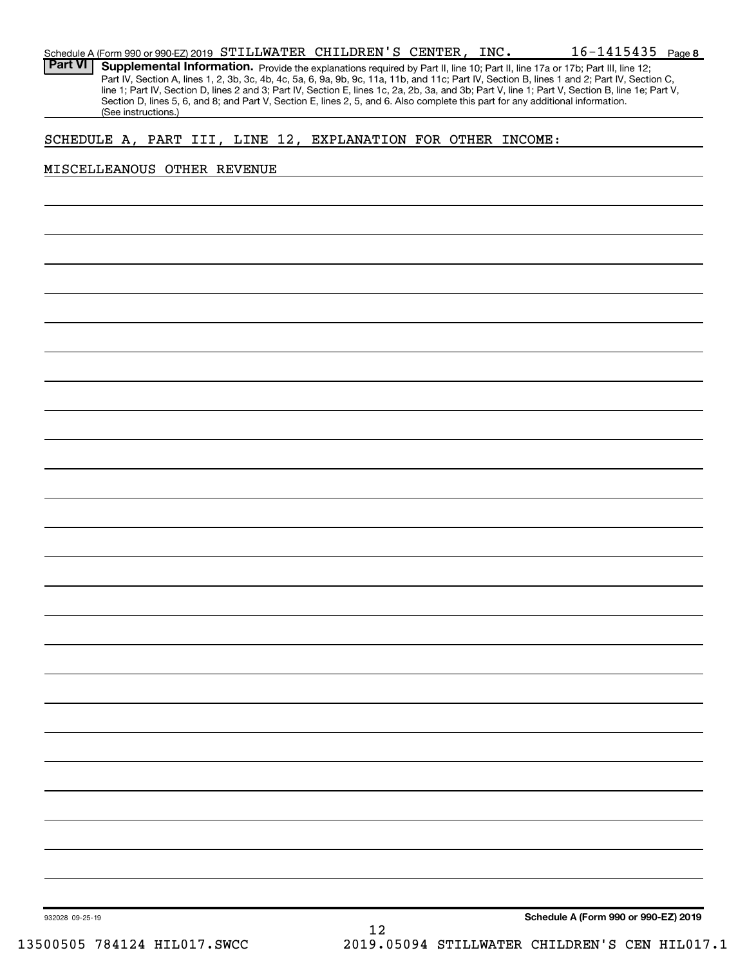| Schedule A (Form 990 or 990-EZ) 2019 STILLWATER CHILDREN'S CENTER,                                                                           |  | INC. | $16 - 1415435$ Page 8                                                                                                                            |  |
|----------------------------------------------------------------------------------------------------------------------------------------------|--|------|--------------------------------------------------------------------------------------------------------------------------------------------------|--|
| <b>Part VI Supplemental Information.</b> Provide the explanations required by Part II, line 10; Part II, line 17a or 17b; Part III, line 12; |  |      |                                                                                                                                                  |  |
|                                                                                                                                              |  |      | Part IV, Section A, lines 1, 2, 3b, 3c, 4b, 4c, 5a, 6, 9a, 9b, 9c, 11a, 11b, and 11c; Part IV, Section B, lines 1 and 2; Part IV, Section C,     |  |
|                                                                                                                                              |  |      | line 1; Part IV, Section D, lines 2 and 3; Part IV, Section E, lines 1c, 2a, 2b, 3a, and 3b; Part V, line 1; Part V, Section B, line 1e; Part V, |  |
| Section D, lines 5, 6, and 8; and Part V, Section E, lines 2, 5, and 6. Also complete this part for any additional information.              |  |      |                                                                                                                                                  |  |
| (See instructions.)                                                                                                                          |  |      |                                                                                                                                                  |  |

# SCHEDULE A, PART III, LINE 12, EXPLANATION FOR OTHER INCOME:

## MISCELLEANOUS OTHER REVENUE

Schedule A (Form 990 or 990-EZ) 2019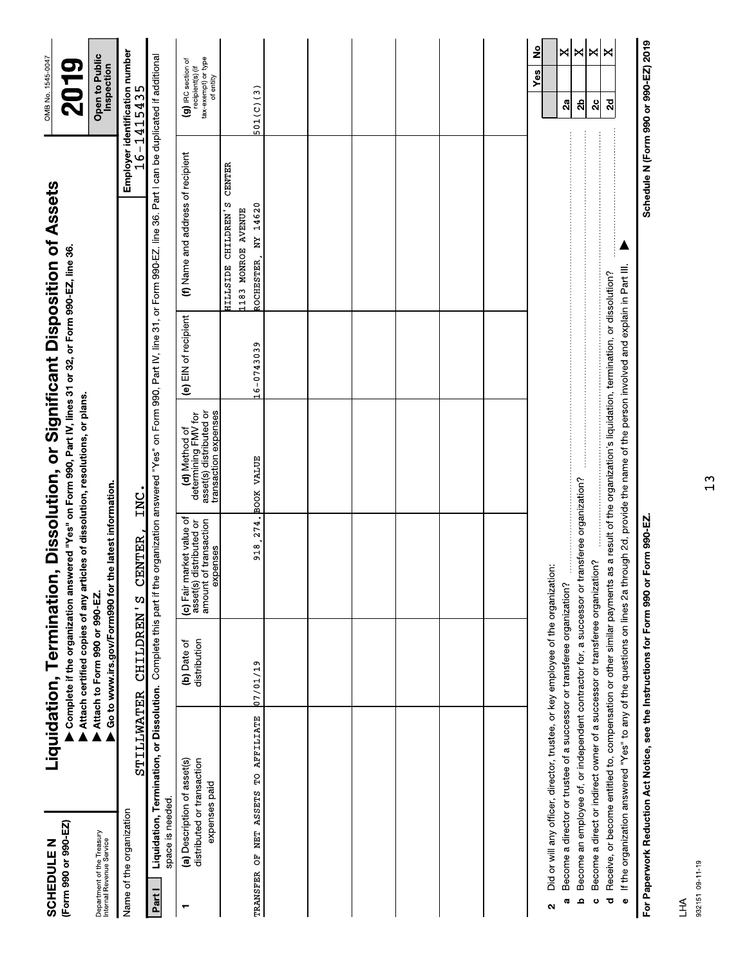| (Form 990 or 990-EZ)<br><b>SCHEDULE N</b>                                |                                                                                                                                                             | Liquidation, Termination      |                                                                                               | Complete if the organization answered "Yes" on Form 990, Part IV, lines 31 or 32, or Form 990-EZ, line 36.<br>Attach certified copies of any articles of dissolution, resolutions, or plans.                                                                                                              |                      | , Dissolution, or Significant Disposition of Assets                                                                        |               | OMB No. 1545-0047<br><b>2019</b>                                           |
|--------------------------------------------------------------------------|-------------------------------------------------------------------------------------------------------------------------------------------------------------|-------------------------------|-----------------------------------------------------------------------------------------------|-----------------------------------------------------------------------------------------------------------------------------------------------------------------------------------------------------------------------------------------------------------------------------------------------------------|----------------------|----------------------------------------------------------------------------------------------------------------------------|---------------|----------------------------------------------------------------------------|
| Department of the Treasury<br>Internal Revenue Service                   |                                                                                                                                                             | Attach to Form 990 or 990-EZ. | Go to www.irs.gov/Form990 for the latest information.                                         |                                                                                                                                                                                                                                                                                                           |                      |                                                                                                                            |               | Open to Public<br>Inspection                                               |
| Name of the organization                                                 | STILLWATER                                                                                                                                                  | CHILDREN'S                    | CENTER,                                                                                       | INC.                                                                                                                                                                                                                                                                                                      |                      |                                                                                                                            |               | Employer identification number<br>$16 - 1415435$                           |
| space is needed.<br>Part I                                               | Liquidation, Termination, or Dissolution. Complete this part if the                                                                                         |                               |                                                                                               |                                                                                                                                                                                                                                                                                                           |                      | organization answered "Yes" on Form 990, Part IV, line 31, or Form 990-EZ, line 36. Part I can be duplicated if additional |               |                                                                            |
| (a) Description of asset(s)<br>┯                                         | distributed or transaction<br>expenses paid                                                                                                                 | distribution<br>(b) Date of   | (c) Fair market value of<br>amount of transaction<br>asset(s) distributed or<br>expenses      | asset(s) distributed or<br>transaction expenses<br>determining FMV for<br>(d) Method of                                                                                                                                                                                                                   | (e) EIN of recipient | (f) Name and address of recipient                                                                                          |               | tax-exempt) or type<br>(g) IRC section of<br>recipient(s) (if<br>of entity |
| TRANSFER OF NET ASSETS TO AFFILIATE                                      |                                                                                                                                                             | 07/01/19                      |                                                                                               | 918, 274. BOOK VALUE                                                                                                                                                                                                                                                                                      | 16-0743039           | HILLSIDE CHILDREN'S<br>NY 14620<br>1183 MONROE AVENUE<br>ROCHESTER,                                                        | <b>CENTER</b> | 501(C)(3)                                                                  |
|                                                                          |                                                                                                                                                             |                               |                                                                                               |                                                                                                                                                                                                                                                                                                           |                      |                                                                                                                            |               |                                                                            |
|                                                                          |                                                                                                                                                             |                               |                                                                                               |                                                                                                                                                                                                                                                                                                           |                      |                                                                                                                            |               |                                                                            |
|                                                                          |                                                                                                                                                             |                               |                                                                                               |                                                                                                                                                                                                                                                                                                           |                      |                                                                                                                            |               |                                                                            |
|                                                                          |                                                                                                                                                             |                               |                                                                                               |                                                                                                                                                                                                                                                                                                           |                      |                                                                                                                            |               |                                                                            |
|                                                                          |                                                                                                                                                             |                               |                                                                                               |                                                                                                                                                                                                                                                                                                           |                      |                                                                                                                            |               |                                                                            |
|                                                                          |                                                                                                                                                             |                               |                                                                                               |                                                                                                                                                                                                                                                                                                           |                      |                                                                                                                            |               |                                                                            |
| <b>G</b><br>2                                                            | Did or will any officer, director, trustee, or key employee of the organization:<br>Become a director or trustee of a successor or transferee organization? |                               |                                                                                               |                                                                                                                                                                                                                                                                                                           |                      |                                                                                                                            |               | <u>ខ</u><br>$\mathsf{x}$<br>Yes<br>2a                                      |
| ء                                                                        | Become a direct or indirect owner of a successor or transferee organization?                                                                                |                               | Become an employee of, or independent contractor for, a successor or transferee organization? |                                                                                                                                                                                                                                                                                                           |                      |                                                                                                                            |               | $\mathbf{\mathsf{K}}$<br>×<br>ಸಿ                                           |
| ಕ<br>$\ddot{\circ}$                                                      |                                                                                                                                                             |                               |                                                                                               | If the organization answered "Yes" to any of the questions on lines 2a through 2d, provide the name of the person involved and explain in Part III.<br>Receive, or become entitled to, compensation or other similar payments as a result of the organization's liquidation, termination, or dissolution? |                      |                                                                                                                            |               | ×<br>$\overline{2d}$<br>2c                                                 |
| For Paperwork Reduction Act Notice, see the Instructions for Form 990 or |                                                                                                                                                             |                               | Form 990-EZ.                                                                                  |                                                                                                                                                                                                                                                                                                           |                      |                                                                                                                            |               | Schedule N (Form 990 or 990-EZ) 2019                                       |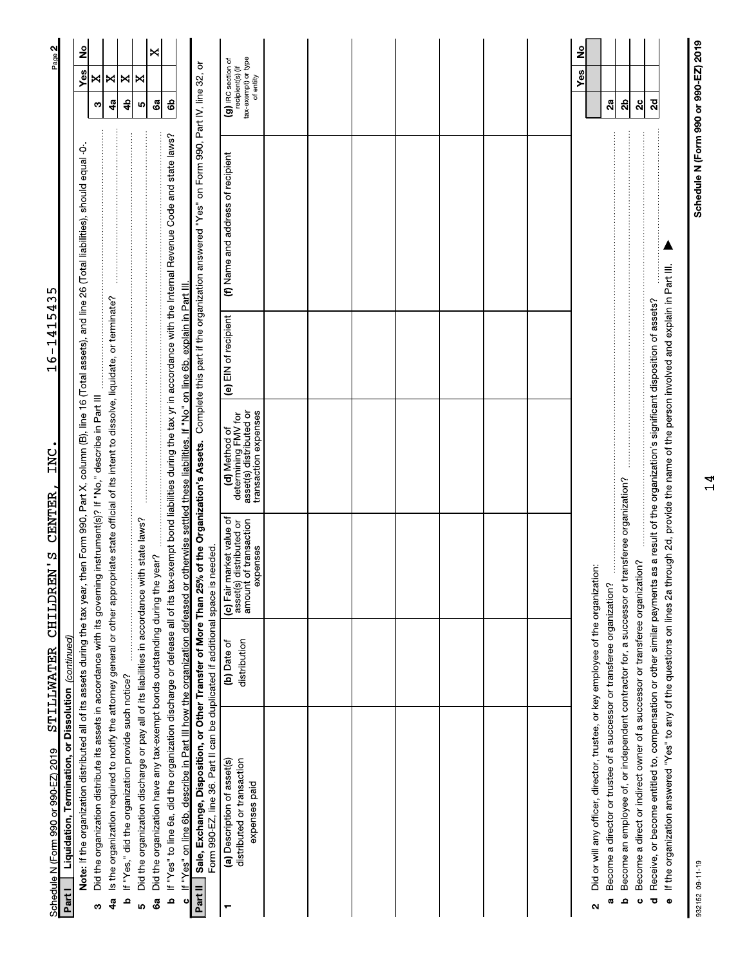| Schedule N (Form 990 or 990-EZ) 2019                                                                                                                                                                                                                                                                                                                       | STILLWATER                  | <b>CENTER</b><br>CHILDREN'S                                                                    | INC                                                                                     | ம்<br>٣<br>4<br>٢<br>$\overline{\phantom{a}}$<br>O<br>$\mathbf{\mathbf{\mathbf{\mathbf{\mathsf{H}}}}}$ | ഥ<br>$\mathcal{C}$<br>4                                                                                                                                                            | Page 2                                                                     |
|------------------------------------------------------------------------------------------------------------------------------------------------------------------------------------------------------------------------------------------------------------------------------------------------------------------------------------------------------------|-----------------------------|------------------------------------------------------------------------------------------------|-----------------------------------------------------------------------------------------|--------------------------------------------------------------------------------------------------------|------------------------------------------------------------------------------------------------------------------------------------------------------------------------------------|----------------------------------------------------------------------------|
| Note: If the organization distributed all of its assets during the tax year, then Form 990, Part X, column (B), line 16 (Total assets), and line 26 (Total liabilities), should equal -0-<br>Liquidation, Termination, or Dissolution (continued)<br>Part I                                                                                                |                             |                                                                                                |                                                                                         |                                                                                                        |                                                                                                                                                                                    | ş<br>Yes                                                                   |
| Did the organization distribute its assets in accordance with its governing instrument(s)? If "No," describe in Part III<br>ω                                                                                                                                                                                                                              |                             |                                                                                                |                                                                                         |                                                                                                        |                                                                                                                                                                                    | ×<br>ო                                                                     |
| Is the organization required to notify the attorney general or other appropriate state official of its intent to dissolve, liquidate, or terminate?<br>4a                                                                                                                                                                                                  |                             |                                                                                                |                                                                                         |                                                                                                        |                                                                                                                                                                                    | ×<br>49                                                                    |
| If "Yes," did the organization provide such notice?<br>م                                                                                                                                                                                                                                                                                                   |                             |                                                                                                |                                                                                         |                                                                                                        | a consequente de la componente de la componente de la componente de la componente de la componente de la compo                                                                     | ×<br>4                                                                     |
| Did the organization discharge or pay all of its liabilities in accordance with state laws?<br>ιņ                                                                                                                                                                                                                                                          |                             |                                                                                                |                                                                                         |                                                                                                        |                                                                                                                                                                                    | ×<br>LO,                                                                   |
| Did the organization have any tax-exempt bonds outstanding during the year?<br>6a                                                                                                                                                                                                                                                                          |                             |                                                                                                |                                                                                         |                                                                                                        |                                                                                                                                                                                    | ×<br>Ga                                                                    |
| If "Yes" to line 6a, did the organization discharge or defease all of its tax-exempt bond liabilities during the tax yr in accordance with the Internal Revenue Code and state laws?<br>ff "Yes" on line 6b, describe in Part III how the organization defeased or otherwise settled these liabilities. If "No" on line 6b, explain in Part III.<br>م<br>ပ |                             |                                                                                                |                                                                                         |                                                                                                        |                                                                                                                                                                                    | සි                                                                         |
| Part II                                                                                                                                                                                                                                                                                                                                                    |                             |                                                                                                |                                                                                         |                                                                                                        | Sale, Exchange, Disposition, or Other Transfer of More Than 25% of the Organization's Assets. Complete this part if the organization answered "Yes" on Form 990, Part IV, line 32, | ŏ                                                                          |
| Form 990-EZ, line 36. Part II can be duplicated if additional space is needed.                                                                                                                                                                                                                                                                             |                             |                                                                                                |                                                                                         |                                                                                                        |                                                                                                                                                                                    |                                                                            |
| distributed or transaction<br>(a) Description of asset(s)<br>expenses paid                                                                                                                                                                                                                                                                                 | distribution<br>(b) Date of | (c) Fair market value of<br>of transaction<br>distributed or<br>expenses<br>amount<br>asset(s) | asset(s) distributed or<br>transaction expenses<br>determining FMV for<br>(d) Method of | (e) EIN of recipient                                                                                   | (f) Name and address of recipient                                                                                                                                                  | tax-exempt) or type<br>(g) IRC section of<br>recipient(s) (if<br>of entity |
|                                                                                                                                                                                                                                                                                                                                                            |                             |                                                                                                |                                                                                         |                                                                                                        |                                                                                                                                                                                    |                                                                            |
|                                                                                                                                                                                                                                                                                                                                                            |                             |                                                                                                |                                                                                         |                                                                                                        |                                                                                                                                                                                    |                                                                            |
|                                                                                                                                                                                                                                                                                                                                                            |                             |                                                                                                |                                                                                         |                                                                                                        |                                                                                                                                                                                    |                                                                            |
|                                                                                                                                                                                                                                                                                                                                                            |                             |                                                                                                |                                                                                         |                                                                                                        |                                                                                                                                                                                    |                                                                            |
|                                                                                                                                                                                                                                                                                                                                                            |                             |                                                                                                |                                                                                         |                                                                                                        |                                                                                                                                                                                    |                                                                            |
|                                                                                                                                                                                                                                                                                                                                                            |                             |                                                                                                |                                                                                         |                                                                                                        |                                                                                                                                                                                    |                                                                            |
|                                                                                                                                                                                                                                                                                                                                                            |                             |                                                                                                |                                                                                         |                                                                                                        |                                                                                                                                                                                    |                                                                            |
| Did or will any officer, director, trustee, or key employee of the organization:<br>Become a director or trustee of a successor or transferee organization?<br>a,<br>$\mathbf{\Omega}$                                                                                                                                                                     |                             |                                                                                                |                                                                                         |                                                                                                        |                                                                                                                                                                                    | 2<br>Yes<br>2a                                                             |
| Become an employee of, or independent contractor for, a successor or transferee organization?<br>م                                                                                                                                                                                                                                                         |                             |                                                                                                |                                                                                         |                                                                                                        |                                                                                                                                                                                    | ಸೆ                                                                         |
| Receive, or become entitled to, compensation or other similar payments as a result of the organization's significant disposition of assets?<br>Become a direct or indirect owner of a successor or transferee organizati<br>Ō<br>ပ                                                                                                                         |                             | ion?                                                                                           |                                                                                         |                                                                                                        |                                                                                                                                                                                    | $\overline{\mathbf{c}}$<br>2c                                              |
| If the organization answered "Yes" to any of the questions on lines 2a through 2d, provide the name of the person involved and explain in Part III.<br>$\pmb{\mathsf{\scriptstyle{0}}}$                                                                                                                                                                    |                             |                                                                                                |                                                                                         |                                                                                                        |                                                                                                                                                                                    |                                                                            |

932152 09-11-19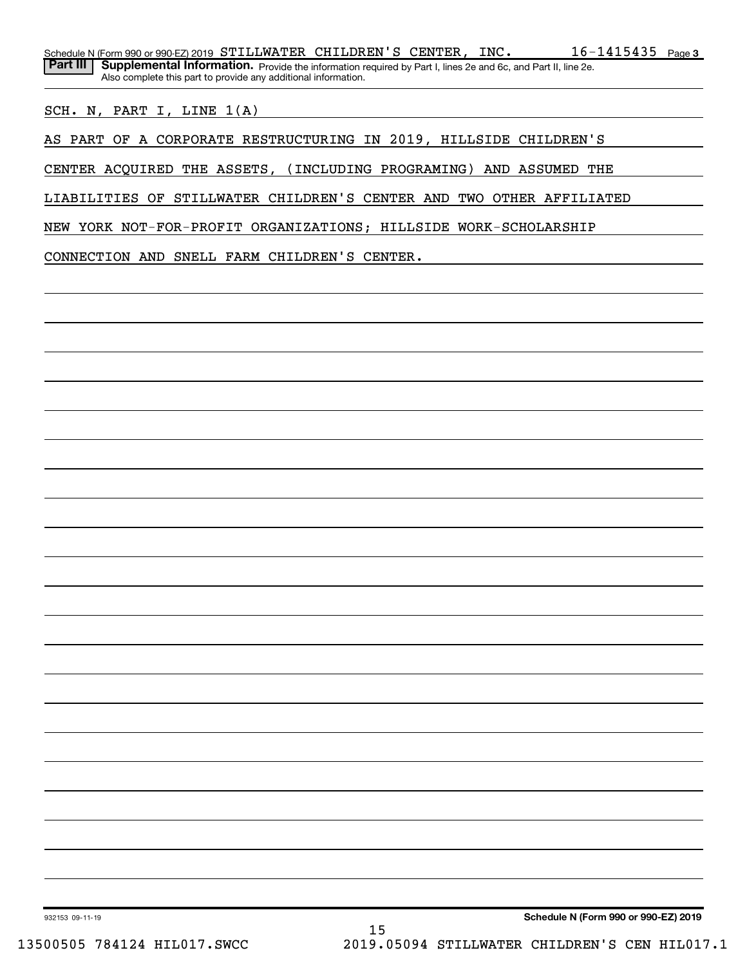SCH. N, PART I, LINE 1(A)

AS PART OF A CORPORATE RESTRUCTURING IN 2019, HILLSIDE CHILDREN'S

CENTER ACQUIRED THE ASSETS, (INCLUDING PROGRAMING) AND ASSUMED THE

LIABILITIES OF STILLWATER CHILDREN'S CENTER AND TWO OTHER AFFILIATED

NEW YORK NOT-FOR-PROFIT ORGANIZATIONS; HILLSIDE WORK-SCHOLARSHIP

CONNECTION AND SNELL FARM CHILDREN'S CENTER.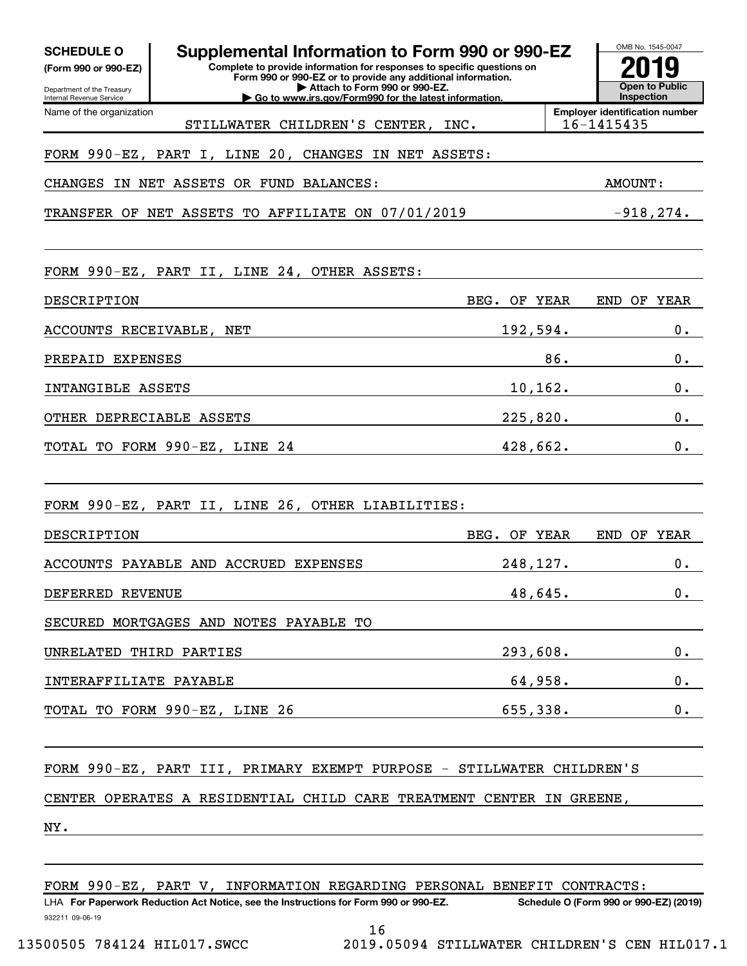| Supplemental Information to Form 990 or 990-EZ<br><b>SCHEDULE O</b><br>Complete to provide information for responses to specific questions on<br>(Form 990 or 990-EZ)<br>Form 990 or 990-EZ or to provide any additional information.<br>Attach to Form 990 or 990-EZ.<br>Department of the Treasury<br>Go to www.irs.gov/Form990 for the latest information.<br>Internal Revenue Service |               | OMB No. 1545-0047<br>Inspection                     | <b>Open to Public</b> |
|-------------------------------------------------------------------------------------------------------------------------------------------------------------------------------------------------------------------------------------------------------------------------------------------------------------------------------------------------------------------------------------------|---------------|-----------------------------------------------------|-----------------------|
| Name of the organization<br>STILLWATER CHILDREN'S CENTER,                                                                                                                                                                                                                                                                                                                                 | INC.          | <b>Employer identification number</b><br>16-1415435 |                       |
| FORM 990-EZ, PART I, LINE 20, CHANGES IN NET ASSETS:                                                                                                                                                                                                                                                                                                                                      |               |                                                     |                       |
| <b>ASSETS</b><br>OR FUND<br>IN NET<br><b>BALANCES:</b><br>CHANGES                                                                                                                                                                                                                                                                                                                         |               | <b>AMOUNT:</b>                                      |                       |
| TO AFFILIATE ON 07/01/2019<br>ASSETS<br>TRANSFER OF<br>NET                                                                                                                                                                                                                                                                                                                                |               |                                                     | $-918, 274.$          |
| FORM 990-EZ, PART II, LINE 24, OTHER ASSETS:                                                                                                                                                                                                                                                                                                                                              |               |                                                     |                       |
| DESCRIPTION                                                                                                                                                                                                                                                                                                                                                                               | BEG.<br>OF    | <b>YEAR</b><br>END<br>ΟF                            | <b>YEAR</b>           |
| ACCOUNTS RECEIVABLE, NET                                                                                                                                                                                                                                                                                                                                                                  | 192,594.      |                                                     | 0.                    |
| PREPAID EXPENSES                                                                                                                                                                                                                                                                                                                                                                          |               | 86.                                                 | 0.                    |
| INTANGIBLE ASSETS                                                                                                                                                                                                                                                                                                                                                                         |               | 10, 162.                                            | 0.                    |
| OTHER DEPRECIABLE ASSETS                                                                                                                                                                                                                                                                                                                                                                  | 225,820.      |                                                     | 0.                    |
| TO FORM 990-EZ, LINE 24<br>TOTAL                                                                                                                                                                                                                                                                                                                                                          | 428,662.      |                                                     | 0.                    |
| FORM 990-EZ, PART II, LINE 26, OTHER LIABILITIES:                                                                                                                                                                                                                                                                                                                                         |               |                                                     |                       |
| DESCRIPTION                                                                                                                                                                                                                                                                                                                                                                               | BEG.<br>OF    | <b>YEAR</b><br>END<br>ΟF                            | <b>YEAR</b>           |
| ACCOUNTS PAYABLE AND ACCRUED EXPENSES                                                                                                                                                                                                                                                                                                                                                     | 248,127.      |                                                     | 0.                    |
| DEFERRED REVENUE                                                                                                                                                                                                                                                                                                                                                                          | 48,645.       |                                                     | 0.                    |
| SECURED MORTGAGES AND NOTES PAYABLE TO                                                                                                                                                                                                                                                                                                                                                    |               |                                                     |                       |
| UNRELATED THIRD PARTIES                                                                                                                                                                                                                                                                                                                                                                   | $293,608.$ 0. |                                                     |                       |
| INTERAFFILIATE PAYABLE                                                                                                                                                                                                                                                                                                                                                                    | 64,958.       |                                                     | 0.                    |
| TOTAL TO FORM 990-EZ, LINE 26                                                                                                                                                                                                                                                                                                                                                             | 655,338.      |                                                     | 0.                    |
| FORM 990-EZ, PART III, PRIMARY EXEMPT PURPOSE - STILLWATER CHILDREN'S<br>CENTER OPERATES A RESIDENTIAL CHILD CARE TREATMENT CENTER IN GREENE,                                                                                                                                                                                                                                             |               |                                                     |                       |
| NY.                                                                                                                                                                                                                                                                                                                                                                                       |               |                                                     |                       |

FORM 990-EZ, PART V, INFORMATION REGARDING PERSONAL BENEFIT CONTRACTS:

932211 09-06-19 LHA For Paperwork Reduction Act Notice, see the Instructions for Form 990 or 990-EZ. Schedule O (Form 990 or 990-EZ) (2019) LET